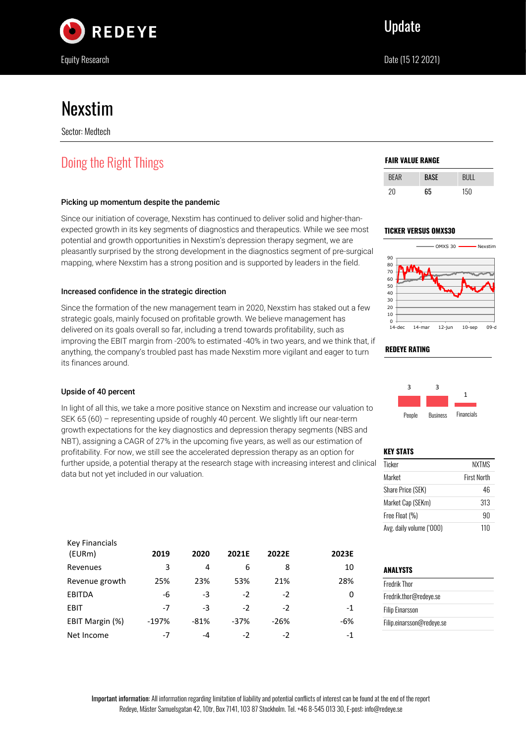

# Nexstim

Sector: Medtech

# Doing the Right Things

# Picking up momentum despite the pandemic

Since our initiation of coverage, Nexstim has continued to deliver solid and higher-thanexpected growth in its key segments of diagnostics and therapeutics. While we see most potential and growth opportunities in Nexstim's depression therapy segment, we are pleasantly surprised by the strong development in the diagnostics segment of pre-surgical mapping, where Nexstim has a strong position and is supported by leaders in the field.

# Increased confidence in the strategic direction

Since the formation of the new management team in 2020, Nexstim has staked out a few strategic goals, mainly focused on profitable growth. We believe management has delivered on its goals overall so far, including a trend towards profitability, such as improving the EBIT margin from -200% to estimated -40% in two years, and we think that, if anything, the company's troubled past has made Nexstim more vigilant and eager to turn its finances around.

# Upside of 40 percent

In light of all this, we take a more positive stance on Nexstim and increase our valuation to SEK 65 (60) – representing upside of roughly 40 percent. We slightly lift our near-term growth expectations for the key diagnostics and depression therapy segments (NBS and NBT), assigning a CAGR of 27% in the upcoming five years, as well as our estimation of profitability. For now, we still see the accelerated depression therapy as an option for further upside, a potential therapy at the research stage with increasing interest and clinical data but not yet included in our valuation.

| <b>Key Financials</b> |         |        |        |        |       |
|-----------------------|---------|--------|--------|--------|-------|
| (EURm)                | 2019    | 2020   | 2021E  | 2022E  | 2023E |
| Revenues              | 3       | 4      | 6      | 8      | 10    |
| Revenue growth        | 25%     | 23%    | 53%    | 21%    | 28%   |
| <b>EBITDA</b>         | -6      | -3     | $-2$   | $-2$   | 0     |
| <b>EBIT</b>           | -7      | -3     | $-2$   | $-2$   | $-1$  |
| EBIT Margin (%)       | $-197%$ | $-81%$ | $-37%$ | $-26%$ | $-6%$ |
| Net Income            | -7      | -4     | -2     | -2     | $-1$  |

### **FAIR VALUE RANGE**

| <b>BEAR</b> | RASE | RIII |
|-------------|------|------|
| 20          | 65   | 150  |

### **TICKER VERSUS OMXS30**





### **KEY STATS**

**REDEYE RATING**

| Ticker                   | <b>NXTMS</b>       |
|--------------------------|--------------------|
| Market                   | <b>First North</b> |
| Share Price (SEK)        | 46                 |
| Market Cap (SEKm)        | 313                |
| Free Float (%)           | 90                 |
| Avg. daily volume ('000) | 110                |

| ANALYSTS                  |  |
|---------------------------|--|
| <b>Fredrik Thor</b>       |  |
| Fredrik.thor@redeye.se    |  |
| <b>Filip Einarsson</b>    |  |
| Filip.einarsson@redeye.se |  |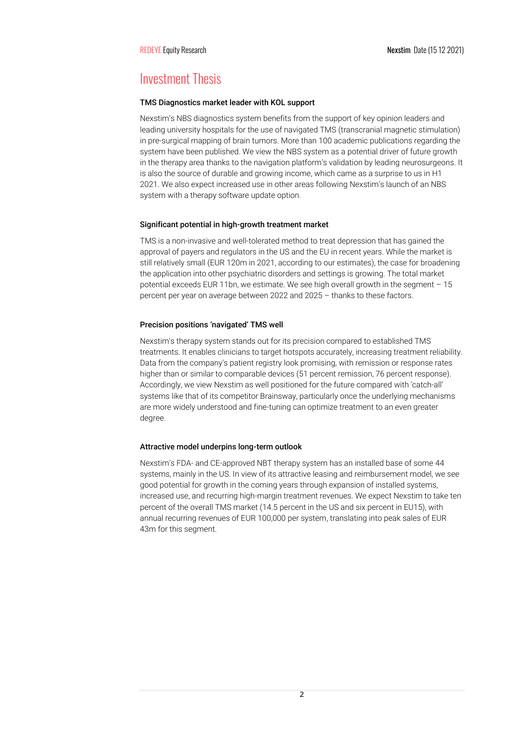# Investment Thesis

### TMS Diagnostics market leader with KOL support

Nexstim's NBS diagnostics system benefits from the support of key opinion leaders and leading university hospitals for the use of navigated TMS (transcranial magnetic stimulation) in pre-surgical mapping of brain tumors. More than 100 academic publications regarding the system have been published. We view the NBS system as a potential driver of future growth in the therapy area thanks to the navigation platform's validation by leading neurosurgeons. It is also the source of durable and growing income, which came as a surprise to us in H1 2021. We also expect increased use in other areas following Nexstim's launch of an NBS system with a therapy software update option.

### Significant potential in high-growth treatment market

TMS is a non-invasive and well-tolerated method to treat depression that has gained the approval of payers and regulators in the US and the EU in recent years. While the market is still relatively small (EUR 120m in 2021, according to our estimates), the case for broadening the application into other psychiatric disorders and settings is growing. The total market potential exceeds EUR 11bn, we estimate. We see high overall growth in the segment – 15 percent per year on average between 2022 and 2025 – thanks to these factors.

# Precision positions 'navigated' TMS well

Nexstim's therapy system stands out for its precision compared to established TMS treatments. It enables clinicians to target hotspots accurately, increasing treatment reliability. Data from the company's patient registry look promising, with remission or response rates higher than or similar to comparable devices (51 percent remission, 76 percent response). Accordingly, we view Nexstim as well positioned for the future compared with 'catch-all' systems like that of its competitor Brainsway, particularly once the underlying mechanisms are more widely understood and fine-tuning can optimize treatment to an even greater degree.

### Attractive model underpins long-term outlook

Nexstim's FDA- and CE-approved NBT therapy system has an installed base of some 44 systems, mainly in the US. In view of its attractive leasing and reimbursement model, we see good potential for growth in the coming years through expansion of installed systems, increased use, and recurring high-margin treatment revenues. We expect Nexstim to take ten percent of the overall TMS market (14.5 percent in the US and six percent in EU15), with annual recurring revenues of EUR 100,000 per system, translating into peak sales of EUR 43m for this segment.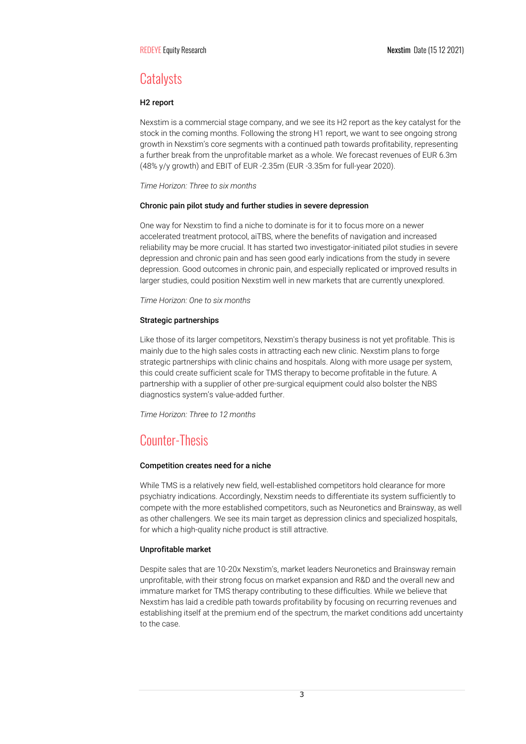# **Catalysts**

### H2 report

Nexstim is a commercial stage company, and we see its H2 report as the key catalyst for the stock in the coming months. Following the strong H1 report, we want to see ongoing strong growth in Nexstim's core segments with a continued path towards profitability, representing a further break from the unprofitable market as a whole. We forecast revenues of EUR 6.3m (48% y/y growth) and EBIT of EUR -2.35m (EUR -3.35m for full-year 2020).

*Time Horizon: Three to six months*

### Chronic pain pilot study and further studies in severe depression

One way for Nexstim to find a niche to dominate is for it to focus more on a newer accelerated treatment protocol, aiTBS, where the benefits of navigation and increased reliability may be more crucial. It has started two investigator-initiated pilot studies in severe depression and chronic pain and has seen good early indications from the study in severe depression. Good outcomes in chronic pain, and especially replicated or improved results in larger studies, could position Nexstim well in new markets that are currently unexplored.

*Time Horizon: One to six months*

### Strategic partnerships

Like those of its larger competitors, Nexstim's therapy business is not yet profitable. This is mainly due to the high sales costs in attracting each new clinic. Nexstim plans to forge strategic partnerships with clinic chains and hospitals. Along with more usage per system, this could create sufficient scale for TMS therapy to become profitable in the future. A partnership with a supplier of other pre-surgical equipment could also bolster the NBS diagnostics system's value-added further.

*Time Horizon: Three to 12 months*

# Counter-Thesis

### Competition creates need for a niche

While TMS is a relatively new field, well-established competitors hold clearance for more psychiatry indications. Accordingly, Nexstim needs to differentiate its system sufficiently to compete with the more established competitors, such as Neuronetics and Brainsway, as well as other challengers. We see its main target as depression clinics and specialized hospitals, for which a high-quality niche product is still attractive.

### Unprofitable market

Despite sales that are 10-20x Nexstim's, market leaders Neuronetics and Brainsway remain unprofitable, with their strong focus on market expansion and R&D and the overall new and immature market for TMS therapy contributing to these difficulties. While we believe that Nexstim has laid a credible path towards profitability by focusing on recurring revenues and establishing itself at the premium end of the spectrum, the market conditions add uncertainty to the case.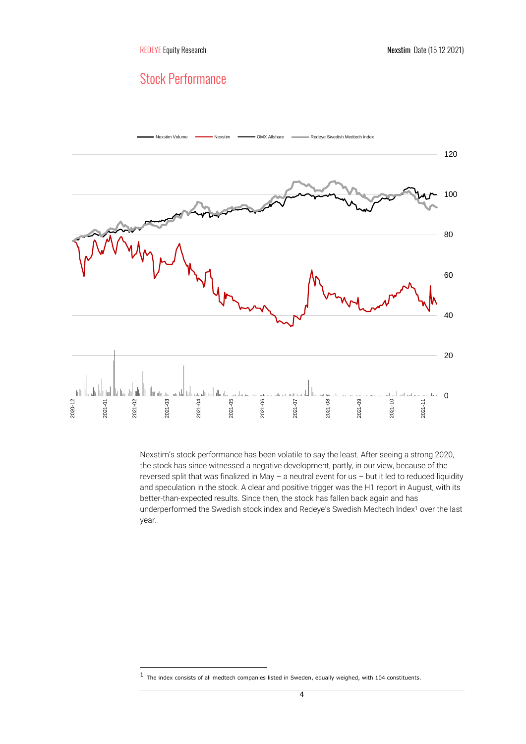# Stock Performance



Nexstim's stock performance has been volatile to say the least. After seeing a strong 2020, the stock has since witnessed a negative development, partly, in our view, because of the reversed split that was finalized in May – a neutral event for us – but it led to reduced liquidity and speculation in the stock. A clear and positive trigger was the H1 report in August, with its better-than-expected results. Since then, the stock has fallen back again and has underperformed the Swedish stock index and Redeye's Swedish Medtech Index<sup>1</sup> over the last year.

<sup>1</sup> The index consists of all medtech companies listed in Sweden, equally weighed, with 104 constituents.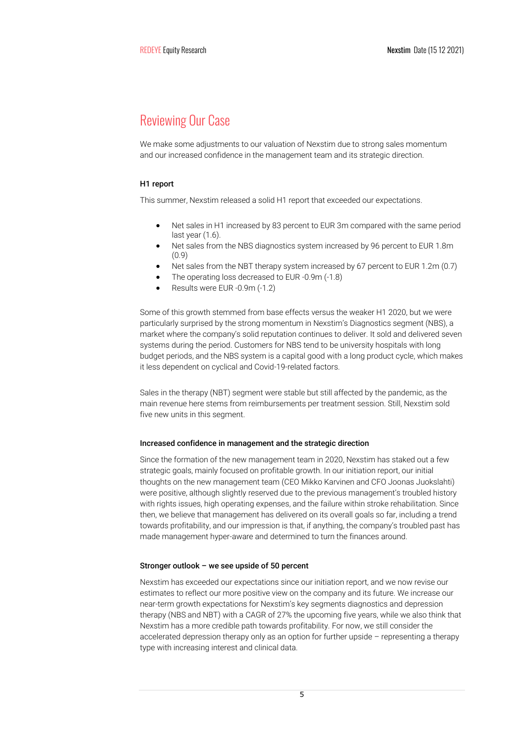# Reviewing Our Case

We make some adjustments to our valuation of Nexstim due to strong sales momentum and our increased confidence in the management team and its strategic direction.

# H1 report

This summer, Nexstim released a solid H1 report that exceeded our expectations.

- Net sales in H1 increased by 83 percent to EUR 3m compared with the same period last year (1.6).
- Net sales from the NBS diagnostics system increased by 96 percent to EUR 1.8m (0.9)
- Net sales from the NBT therapy system increased by 67 percent to EUR 1.2m (0.7)
- The operating loss decreased to EUR -0.9m (-1.8)
- Results were EUR -0.9m (-1.2)

Some of this growth stemmed from base effects versus the weaker H1 2020, but we were particularly surprised by the strong momentum in Nexstim's Diagnostics segment (NBS), a market where the company's solid reputation continues to deliver. It sold and delivered seven systems during the period. Customers for NBS tend to be university hospitals with long budget periods, and the NBS system is a capital good with a long product cycle, which makes it less dependent on cyclical and Covid-19-related factors.

Sales in the therapy (NBT) segment were stable but still affected by the pandemic, as the main revenue here stems from reimbursements per treatment session. Still, Nexstim sold five new units in this segment.

### Increased confidence in management and the strategic direction

Since the formation of the new management team in 2020, Nexstim has staked out a few strategic goals, mainly focused on profitable growth. In our initiation report, our initial thoughts on the new management team (CEO Mikko Karvinen and CFO Joonas Juokslahti) were positive, although slightly reserved due to the previous management's troubled history with rights issues, high operating expenses, and the failure within stroke rehabilitation. Since then, we believe that management has delivered on its overall goals so far, including a trend towards profitability, and our impression is that, if anything, the company's troubled past has made management hyper-aware and determined to turn the finances around.

### Stronger outlook – we see upside of 50 percent

Nexstim has exceeded our expectations since our initiation report, and we now revise our estimates to reflect our more positive view on the company and its future. We increase our near-term growth expectations for Nexstim's key segments diagnostics and depression therapy (NBS and NBT) with a CAGR of 27% the upcoming five years, while we also think that Nexstim has a more credible path towards profitability. For now, we still consider the accelerated depression therapy only as an option for further upside – representing a therapy type with increasing interest and clinical data.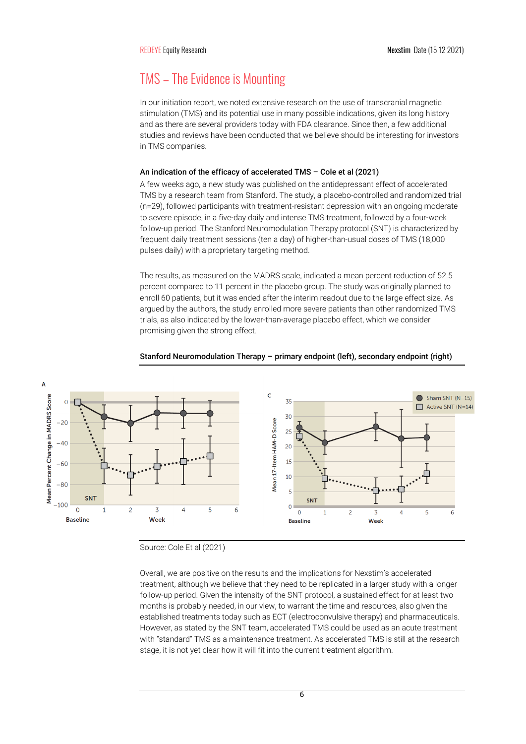# TMS – The Evidence is Mounting

In our initiation report, we noted extensive research on the use of transcranial magnetic stimulation (TMS) and its potential use in many possible indications, given its long history and as there are several providers today with FDA clearance. Since then, a few additional studies and reviews have been conducted that we believe should be interesting for investors in TMS companies.

### An indication of the efficacy of accelerated TMS – Cole et al (2021)

A few weeks ago, a new study was published on the antidepressant effect of accelerated TMS by a research team from Stanford. The study, a placebo-controlled and randomized trial (n=29), followed participants with treatment-resistant depression with an ongoing moderate to severe episode, in a five-day daily and intense TMS treatment, followed by a four-week follow-up period. The Stanford Neuromodulation Therapy protocol (SNT) is characterized by frequent daily treatment sessions (ten a day) of higher-than-usual doses of TMS (18,000 pulses daily) with a proprietary targeting method.

The results, as measured on the MADRS scale, indicated a mean percent reduction of 52.5 percent compared to 11 percent in the placebo group. The study was originally planned to enroll 60 patients, but it was ended after the interim readout due to the large effect size. As argued by the authors, the study enrolled more severe patients than other randomized TMS trials, as also indicated by the lower-than-average placebo effect, which we consider promising given the strong effect.



### Stanford Neuromodulation Therapy – primary endpoint (left), secondary endpoint (right)

Source: Cole Et al (2021)

Overall, we are positive on the results and the implications for Nexstim's accelerated treatment, although we believe that they need to be replicated in a larger study with a longer follow-up period. Given the intensity of the SNT protocol, a sustained effect for at least two months is probably needed, in our view, to warrant the time and resources, also given the established treatments today such as ECT (electroconvulsive therapy) and pharmaceuticals. However, as stated by the SNT team, accelerated TMS could be used as an acute treatment with "standard" TMS as a maintenance treatment. As accelerated TMS is still at the research stage, it is not yet clear how it will fit into the current treatment algorithm.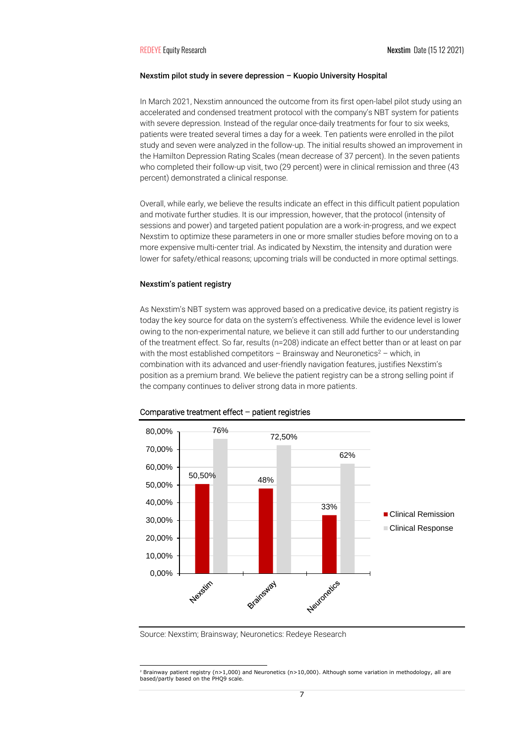### Nexstim pilot study in severe depression – Kuopio University Hospital

In March 2021, Nexstim announced the outcome from its first open-label pilot study using an accelerated and condensed treatment protocol with the company's NBT system for patients with severe depression. Instead of the regular once-daily treatments for four to six weeks, patients were treated several times a day for a week. Ten patients were enrolled in the pilot study and seven were analyzed in the follow-up. The initial results showed an improvement in the Hamilton Depression Rating Scales (mean decrease of 37 percent). In the seven patients who completed their follow-up visit, two (29 percent) were in clinical remission and three (43 percent) demonstrated a clinical response.

Overall, while early, we believe the results indicate an effect in this difficult patient population and motivate further studies. It is our impression, however, that the protocol (intensity of sessions and power) and targeted patient population are a work-in-progress, and we expect Nexstim to optimize these parameters in one or more smaller studies before moving on to a more expensive multi-center trial. As indicated by Nexstim, the intensity and duration were lower for safety/ethical reasons; upcoming trials will be conducted in more optimal settings.

### Nexstim's patient registry

As Nexstim's NBT system was approved based on a predicative device, its patient registry is today the key source for data on the system's effectiveness. While the evidence level is lower owing to the non-experimental nature, we believe it can still add further to our understanding of the treatment effect. So far, results (n=208) indicate an effect better than or at least on par with the most established competitors – Brainsway and Neuronetics<sup>2</sup> – which, in combination with its advanced and user-friendly navigation features, justifies Nexstim's position as a premium brand. We believe the patient registry can be a strong selling point if the company continues to deliver strong data in more patients.



#### Comparative treatment effect – patient registries

Source: Nexstim; Brainsway; Neuronetics: Redeye Research

<sup>2</sup> Brainway patient registry (n>1,000) and Neuronetics (n>10,000). Although some variation in methodology, all are based/partly based on the PHQ9 scale.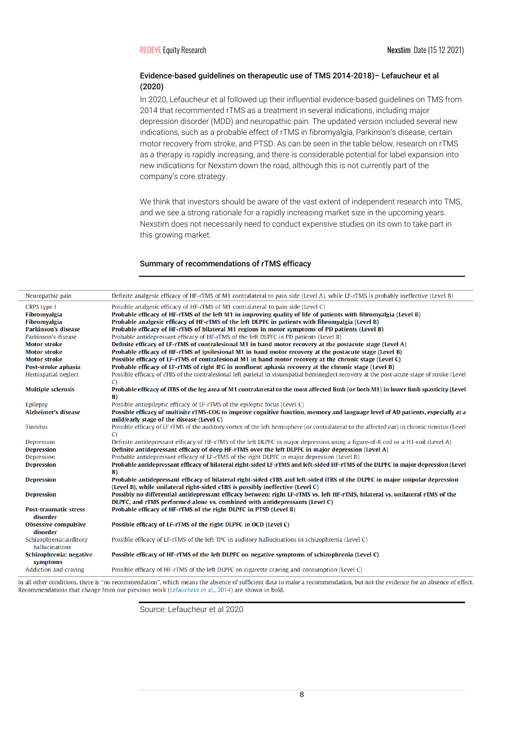# Evidence-based guidelines on therapeutic use of TMS 2014-2018)– Lefaucheur et al (2020)

In 2020, Lefaucheur et al followed up their influential evidence-based guidelines on TMS from 2014 that recommented rTMS as a treatment in several indications, including major depression disorder (MDD) and neuropathic pain. The updated version included several new indications, such as a probable effect of rTMS in fibromyalgia, Parkinson's disease, certain motor recovery from stroke, and PTSD. As can be seen in the table below, research on rTMS as a therapy is rapidly increasing, and there is considerable potential for label expansion into new indications for Nexstim down the road, although this is not currently part of the company's core strategy.

We think that investors should be aware of the vast extent of independent research into TMS, and we see a strong rationale for a rapidly increasing market size in the upcoming years. Nexstim does not necessarily need to conduct expensive studies on its own to take part in this growing market.

### Summary of recommendations of rTMS efficacy

| Neuropathic pain             | Definite analgesic efficacy of HF-rTMS of M1 contralateral to pain side (Level A), while LF-rTMS is probably ineffective (Level B)           |
|------------------------------|----------------------------------------------------------------------------------------------------------------------------------------------|
| CRPS type I                  | Possible analgesic efficacy of HF-rTMS of M1 contralateral to pain side (Level C)                                                            |
| Fibromyalgia                 | Probable efficacy of HF-rTMS of the left M1 in improving quality of life of patients with fibromyalgia (Level B)                             |
| Fibromyalgia                 | Probable analgesic efficacy of HF-rTMS of the left DLPFC in patients with fibromyalgia (Level B)                                             |
| Parkinson's disease          | Probable efficacy of HF-rTMS of bilateral M1 regions in motor symptoms of PD patients (Level B)                                              |
| Parkinson's disease          | Probable antidepressant efficacy of HF-rTMS of the left DLPFC in PD patients (Level B)                                                       |
| <b>Motor stroke</b>          | Definite efficacy of LF-rTMS of contralesional M1 in hand motor recovery at the postacute stage (Level A)                                    |
| <b>Motor stroke</b>          | Probable efficacy of HF-rTMS of ipsilesional M1 in hand motor recovery at the postacute stage (Level B)                                      |
| <b>Motor stroke</b>          | Possible efficacy of LF-rTMS of contralesional M1 in hand motor recovery at the chronic stage (Level C)                                      |
| Post-stroke aphasia          | Probable efficacy of LF-rTMS of right IFG in nonfluent aphasia recovery at the chronic stage (Level B)                                       |
| Hemispatial neglect          | Possible efficacy of cTBS of the contralesional left parietal in visuospatial hemineglect recovery at the post-acute stage of stroke (Level  |
|                              | $\mathcal{C}$                                                                                                                                |
| <b>Multiple sclerosis</b>    | Probable efficacy of iTBS of the leg area of M1 contralateral to the most affected limb (or both M1) in lower limb spasticity (Level         |
|                              | B)                                                                                                                                           |
| Epilepsy                     | Possible antiepileptic efficacy of LF-rTMS of the epileptic focus (Level C)                                                                  |
| <b>Alzheimer's disease</b>   | Possible efficacy of multisite rTMS-COG to improve cognitive function, memory and language level of AD patients, especially at a             |
|                              | mild/early stage of the disease (Level C)                                                                                                    |
| <b>Tinnitus</b>              | Possible efficacy of LF rTMS of the auditory cortex of the left hemisphere (or contralateral to the affected ear) in chronic tinnitus (Level |
|                              | $\mathcal{C}$                                                                                                                                |
| Depression                   | Definite antidepressant efficacy of HF-rTMS of the left DLPFC in major depression using a figure-of-8 coil or a H1-coil (Level A)            |
| <b>Depression</b>            | Definite antidepressant efficacy of deep HF-rTMS over the left DLPFC in major depression (Level A)                                           |
| Depression                   | Probable antidepressant efficacy of LF-rTMS of the right DLPFC in major depression (Level B)                                                 |
| <b>Depression</b>            | Probable antidepressant efficacy of bilateral right-sided LF-rTMS and left-sided HF-rTMS of the DLPFC in major depression (Level             |
|                              | B)                                                                                                                                           |
| <b>Depression</b>            | Probable antidepressant efficacy of bilateral right-sided cTBS and left-sided iTBS of the DLPFC in major unipolar depression                 |
|                              | (Level B), while unilateral right-sided cTBS is possibly ineffective (Level C)                                                               |
| <b>Depression</b>            | Possibly no differential antidepressant efficacy between: right LF-rTMS vs. left HF-rTMS, bilateral vs. unilateral rTMS of the               |
|                              | DLPFC, and rTMS performed alone vs. combined with antidepressants (Level C)                                                                  |
| <b>Post-traumatic stress</b> | Probable efficacy of HF-rTMS of the right DLPFC in PTSD (Level B)                                                                            |
| disorder                     |                                                                                                                                              |
| <b>Obsessive compulsive</b>  | Possible efficacy of LF-rTMS of the right DLPFC in OCD (Level C)                                                                             |
| disorder                     |                                                                                                                                              |
| Schizophrenia: auditory      | Possible efficacy of LF-rTMS of the left TPC in auditory hallucinations in schizophrenia (Level C)                                           |
| hallucinations               |                                                                                                                                              |
| Schizophrenia: negative      | Possible efficacy of HF-rTMS of the left DLPFC on negative symptoms of schizophrenia (Level C)                                               |
| symptoms                     |                                                                                                                                              |
| Addiction and craving        | Possible efficacy of HF-rTMS of the left DLPFC on cigarette craving and consumption (Level C)                                                |
|                              |                                                                                                                                              |

In all other conditions, there is "no recommendation", which means the absence of sufficient data to make a recommendation, but not the evidence for an absence of effect. Recommendations that change from our previous work (Lefaucheur et al., 2014) are shown in bold.

Source: Lefaucheur et al 2020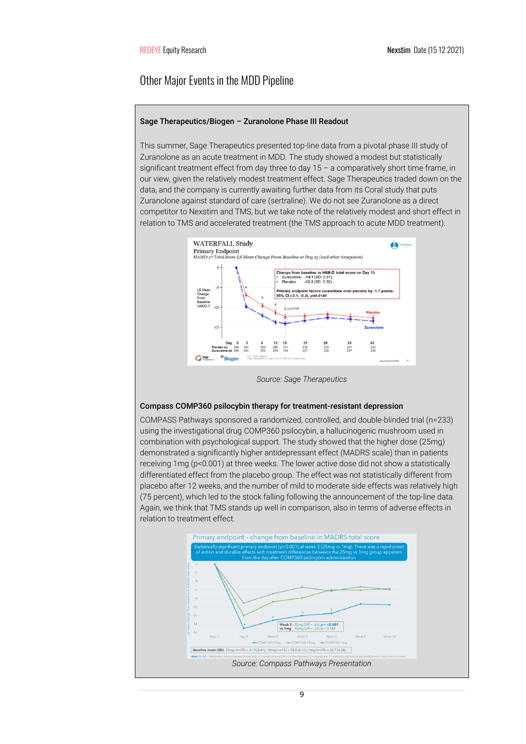# Other Major Events in the MDD Pipeline

### Sage Therapeutics/Biogen – Zuranolone Phase III Readout

This summer, Sage Therapeutics presented top-line data from a pivotal phase III study of Zuranolone as an acute treatment in MDD. The study showed a modest but statistically significant treatment effect from day three to day 15 - a comparatively short time frame, in our view, given the relatively modest treatment effect. Sage Therapeutics traded down on the data, and the company is currently awaiting further data from its Coral study that puts Zuranolone against standard of care (sertraline). We do not see Zuranolone as a direct competitor to Nexstim and TMS, but we take note of the relatively modest and short effect in relation to TMS and accelerated treatment (the TMS approach to acute MDD treatment).



*Source: Sage Therapeutics*

### Compass COMP360 psilocybin therapy for treatment-resistant depression

COMPASS Pathways sponsored a randomized, controlled, and double-blinded trial (n=233) using the investigational drug COMP360 psilocybin, a hallucinogenic mushroom used in combination with psychological support. The study showed that the higher dose (25mg) demonstrated a significantly higher antidepressant effect (MADRS scale) than in patients receiving 1mg (p<0.001) at three weeks. The lower active dose did not show a statistically differentiated effect from the placebo group. The effect was not statistically different from placebo after 12 weeks, and the number of mild to moderate side effects was relatively high (75 percent), which led to the stock falling following the announcement of the top-line data. Again, we think that TMS stands up well in comparison, also in terms of adverse effects in relation to treatment effect.

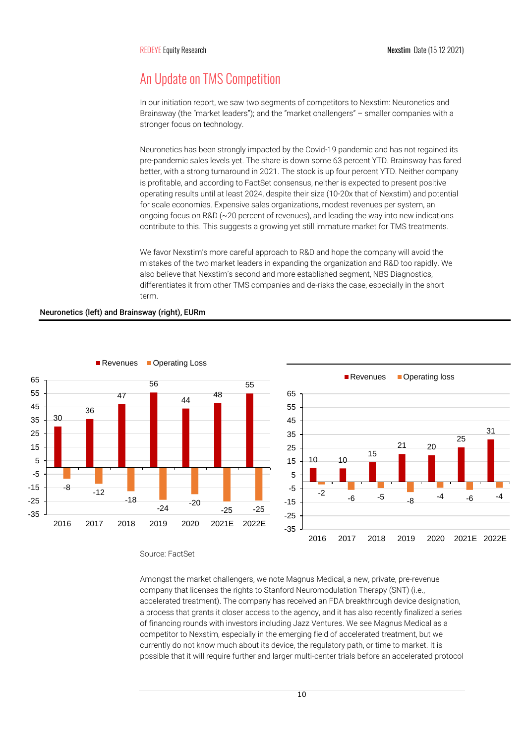# An Update on TMS Competition

In our initiation report, we saw two segments of competitors to Nexstim: Neuronetics and Brainsway (the "market leaders"); and the "market challengers" – smaller companies with a stronger focus on technology.

Neuronetics has been strongly impacted by the Covid-19 pandemic and has not regained its pre-pandemic sales levels yet. The share is down some 63 percent YTD. Brainsway has fared better, with a strong turnaround in 2021. The stock is up four percent YTD. Neither company is profitable, and according to FactSet consensus, neither is expected to present positive operating results until at least 2024, despite their size (10-20x that of Nexstim) and potential for scale economies. Expensive sales organizations, modest revenues per system, an ongoing focus on R&D ( $\sim$  20 percent of revenues), and leading the way into new indications contribute to this. This suggests a growing yet still immature market for TMS treatments.

We favor Nexstim's more careful approach to R&D and hope the company will avoid the mistakes of the two market leaders in expanding the organization and R&D too rapidly. We also believe that Nexstim's second and more established segment, NBS Diagnostics, differentiates it from other TMS companies and de-risks the case, especially in the short term.



Neuronetics (left) and Brainsway (right), EURm

### Source: FactSet

Amongst the market challengers, we note Magnus Medical, a new, private, pre-revenue company that licenses the rights to Stanford Neuromodulation Therapy (SNT) (i.e., accelerated treatment). The company has received an FDA breakthrough device designation, a process that grants it closer access to the agency, and it has also recently finalized a series of financing rounds with investors including Jazz Ventures. We see Magnus Medical as a competitor to Nexstim, especially in the emerging field of accelerated treatment, but we currently do not know much about its device, the regulatory path, or time to market. It is possible that it will require further and larger multi-center trials before an accelerated protocol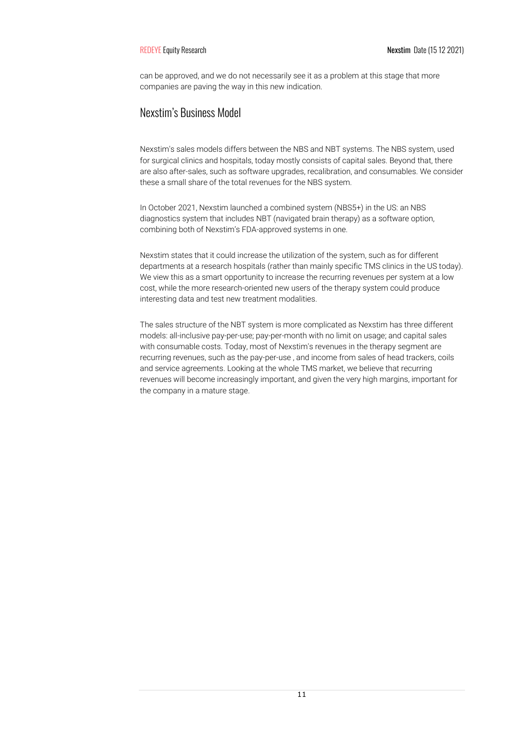can be approved, and we do not necessarily see it as a problem at this stage that more companies are paving the way in this new indication.

# Nexstim's Business Model

Nexstim's sales models differs between the NBS and NBT systems. The NBS system, used for surgical clinics and hospitals, today mostly consists of capital sales. Beyond that, there are also after-sales, such as software upgrades, recalibration, and consumables. We consider these a small share of the total revenues for the NBS system.

In October 2021, Nexstim launched a combined system (NBS5+) in the US: an NBS diagnostics system that includes NBT (navigated brain therapy) as a software option, combining both of Nexstim's FDA-approved systems in one.

Nexstim states that it could increase the utilization of the system, such as for different departments at a research hospitals (rather than mainly specific TMS clinics in the US today). We view this as a smart opportunity to increase the recurring revenues per system at a low cost, while the more research-oriented new users of the therapy system could produce interesting data and test new treatment modalities.

The sales structure of the NBT system is more complicated as Nexstim has three different models: all-inclusive pay-per-use; pay-per-month with no limit on usage; and capital sales with consumable costs. Today, most of Nexstim's revenues in the therapy segment are recurring revenues, such as the pay-per-use , and income from sales of head trackers, coils and service agreements. Looking at the whole TMS market, we believe that recurring revenues will become increasingly important, and given the very high margins, important for the company in a mature stage.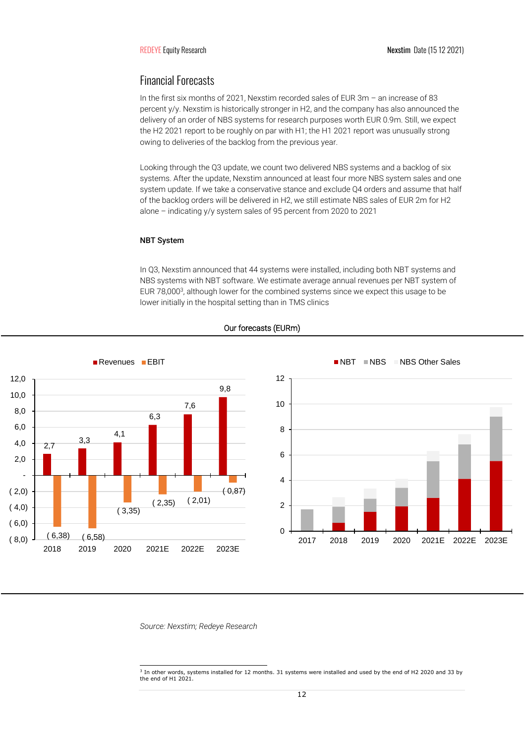# Financial Forecasts

In the first six months of 2021, Nexstim recorded sales of EUR 3m – an increase of 83 percent y/y. Nexstim is historically stronger in H2, and the company has also announced the delivery of an order of NBS systems for research purposes worth EUR 0.9m. Still, we expect the H2 2021 report to be roughly on par with H1; the H1 2021 report was unusually strong owing to deliveries of the backlog from the previous year.

Looking through the Q3 update, we count two delivered NBS systems and a backlog of six systems. After the update, Nexstim announced at least four more NBS system sales and one system update. If we take a conservative stance and exclude Q4 orders and assume that half of the backlog orders will be delivered in H2, we still estimate NBS sales of EUR 2m for H2 alone – indicating y/y system sales of 95 percent from 2020 to 2021

### NBT System

In Q3, Nexstim announced that 44 systems were installed, including both NBT systems and NBS systems with NBT software. We estimate average annual revenues per NBT system of EUR 78,000<sup>3</sup> , although lower for the combined systems since we expect this usage to be lower initially in the hospital setting than in TMS clinics



# Our forecasts (EURm)

*Source: Nexstim; Redeye Research*

<sup>3</sup> In other words, systems installed for 12 months. 31 systems were installed and used by the end of H2 2020 and 33 by the end of H1 2021.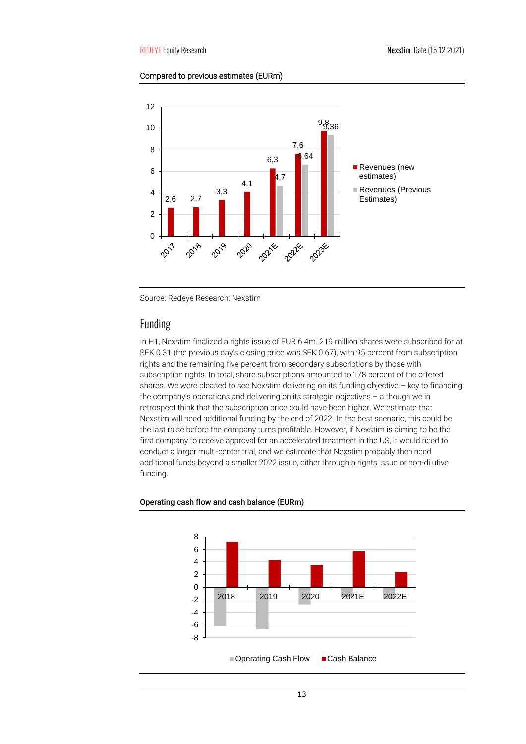# Compared to previous estimates (EURm)



Source: Redeye Research; Nexstim

# Funding

In H1, Nexstim finalized a rights issue of EUR 6.4m. 219 million shares were subscribed for at SEK 0.31 (the previous day's closing price was SEK 0.67), with 95 percent from subscription rights and the remaining five percent from secondary subscriptions by those with subscription rights. In total, share subscriptions amounted to 178 percent of the offered shares. We were pleased to see Nexstim delivering on its funding objective – key to financing the company's operations and delivering on its strategic objectives – although we in retrospect think that the subscription price could have been higher. We estimate that Nexstim will need additional funding by the end of 2022. In the best scenario, this could be the last raise before the company turns profitable. However, if Nexstim is aiming to be the first company to receive approval for an accelerated treatment in the US, it would need to conduct a larger multi-center trial, and we estimate that Nexstim probably then need additional funds beyond a smaller 2022 issue, either through a rights issue or non-dilutive funding.



### Operating cash flow and cash balance (EURm)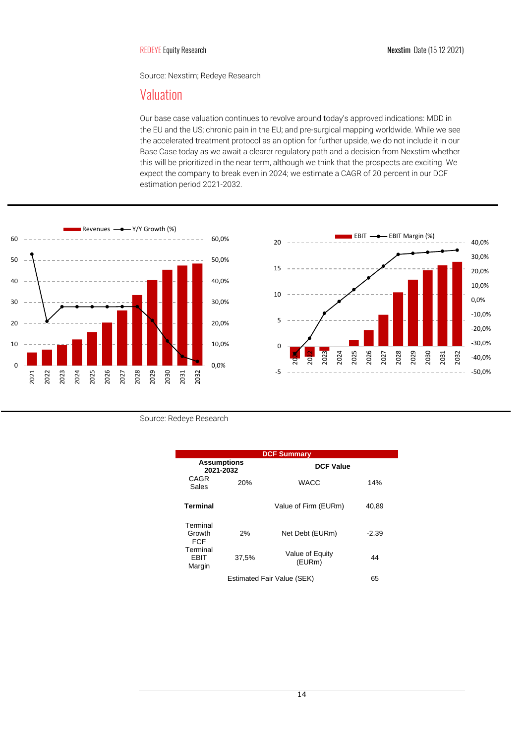Source: Nexstim; Redeye Research

# Valuation

Our base case valuation continues to revolve around today's approved indications: MDD in the EU and the US; chronic pain in the EU; and pre-surgical mapping worldwide. While we see the accelerated treatment protocol as an option for further upside, we do not include it in our Base Case today as we await a clearer regulatory path and a decision from Nexstim whether this will be prioritized in the near term, although we think that the prospects are exciting. We expect the company to break even in 2024; we estimate a CAGR of 20 percent in our DCF estimation period 2021-2032.





Source: Redeye Research

| <b>DCF Summary</b>               |       |                           |         |  |  |  |
|----------------------------------|-------|---------------------------|---------|--|--|--|
| <b>Assumptions</b><br>2021-2032  |       | <b>DCF Value</b>          |         |  |  |  |
| <b>CAGR</b><br>Sales             | 20%   | <b>WACC</b>               | 14%     |  |  |  |
| <b>Terminal</b>                  |       | Value of Firm (EURm)      | 40,89   |  |  |  |
| Terminal<br>Growth<br><b>FCF</b> | 2%    | Net Debt (EURm)           | $-2.39$ |  |  |  |
| Terminal<br>EBIT<br>Margin       | 37.5% | Value of Equity<br>(EURm) | 44      |  |  |  |
| Estimated Fair Value (SEK)<br>65 |       |                           |         |  |  |  |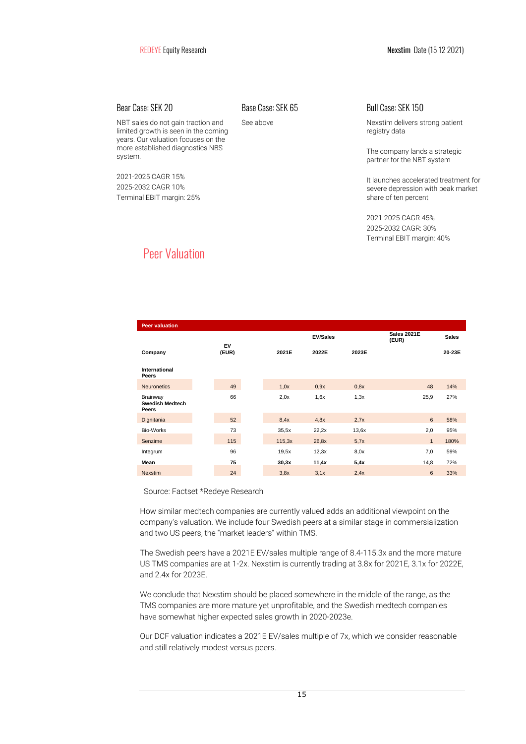NBT sales do not gain traction and limited growth is seen in the coming years. Our valuation focuses on the more established diagnostics NBS system.

2021-2025 CAGR 15% 2025-2032 CAGR 10% Terminal EBIT margin: 25%

Bear Case: SEK 20 Base Case: SEK 65 Bull Case: SEK 150

See above Nexstim delivers strong patient registry data

> The company lands a strategic partner for the NBT system

It launches accelerated treatment for severe depression with peak market share of ten percent

2021-2025 CAGR 45% 2025-2032 CAGR: 30% Terminal EBIT margin: 40%

# Peer Valuation

| <b>Peer valuation</b>                       |             |        |                 |       |                             |              |
|---------------------------------------------|-------------|--------|-----------------|-------|-----------------------------|--------------|
|                                             |             |        | <b>EV/Sales</b> |       | <b>Sales 2021E</b><br>(EUR) | <b>Sales</b> |
| Company                                     | EV<br>(EUR) | 2021E  | 2022E           | 2023E |                             | 20-23E       |
| International<br>Peers                      |             |        |                 |       |                             |              |
| <b>Neuronetics</b>                          | 49          | 1,0x   | 0.9x            | 0,8x  | 48                          | 14%          |
| Brainway<br><b>Swedish Medtech</b><br>Peers | 66          | 2,0x   | 1,6x            | 1,3x  | 25,9                        | 27%          |
| Dignitania                                  | 52          | 8,4x   | 4.8x            | 2.7x  | 6                           | 58%          |
| Bio-Works                                   | 73          | 35,5x  | 22,2x           | 13,6x | 2,0                         | 95%          |
| Senzime                                     | 115         | 115,3x | 26,8x           | 5,7x  | $\mathbf{1}$                | 180%         |
| Integrum                                    | 96          | 19.5x  | 12,3x           | 8,0x  | 7,0                         | 59%          |
| Mean                                        | 75          | 30,3x  | 11,4x           | 5,4x  | 14,8                        | 72%          |
| <b>Nexstim</b>                              | 24          | 3,8x   | 3,1x            | 2,4x  | $6\phantom{1}$              | 33%          |

Source: Factset \*Redeye Research

How similar medtech companies are currently valued adds an additional viewpoint on the company's valuation. We include four Swedish peers at a similar stage in commersialization and two US peers, the "market leaders" within TMS.

The Swedish peers have a 2021E EV/sales multiple range of 8.4-115.3x and the more mature US TMS companies are at 1-2x. Nexstim is currently trading at 3.8x for 2021E, 3.1x for 2022E, and 2.4x for 2023E.

We conclude that Nexstim should be placed somewhere in the middle of the range, as the TMS companies are more mature yet unprofitable, and the Swedish medtech companies have somewhat higher expected sales growth in 2020-2023e.

Our DCF valuation indicates a 2021E EV/sales multiple of 7x, which we consider reasonable and still relatively modest versus peers.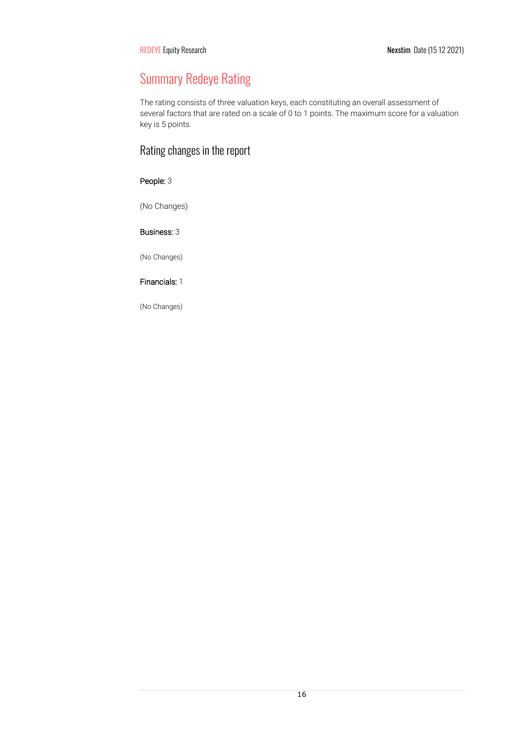# Summary Redeye Rating

The rating consists of three valuation keys, each constituting an overall assessment of several factors that are rated on a scale of 0 to 1 points. The maximum score for a valuation key is 5 points.

# Rating changes in the report

# People: 3

(No Changes)

# Business: 3

(No Changes)

# Financials: 1

(No Changes)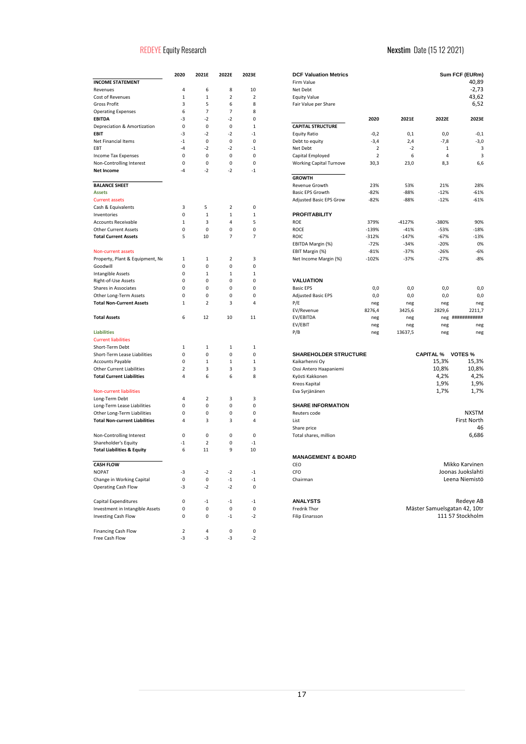# REDEYE Equity Research **Nexstim Date (15 12 2021)**

|                                       | 2020 | 2021E | 2022E                   | 2023E          | <b>DCF Valuation Metrics</b>   |
|---------------------------------------|------|-------|-------------------------|----------------|--------------------------------|
| <b>INCOME STATEMENT</b>               |      |       |                         |                | Firm Value                     |
| Revenues                              | 4    | 6     | 8                       | 10             | Net Debt                       |
| Cost of Revenues                      | 1    | 1     | $\overline{\mathbf{2}}$ | 2              | <b>Equity Value</b>            |
| Gross Profit                          | 3    | 5     | 6                       | 8              | Fair Value per Share           |
| <b>Operating Expenses</b>             | 6    | 7     | 7                       | 8              |                                |
| EBITDA                                | -3   | $-2$  | $-2$                    | 0              |                                |
| Depreciation & Amortization           | 0    | 0     | 0                       | 1              | <b>CAPITAL STRUCTURE</b>       |
| EBIT                                  | -3   | $-2$  | $-2$                    | $-1$           | <b>Equity Ratio</b>            |
| Net Financial Items                   | $-1$ | 0     | 0                       | 0              | Debt to equity                 |
| EBT                                   | $-4$ | $-2$  | $-2$                    | $-1$           | Net Debt                       |
| <b>Income Tax Expenses</b>            | 0    | 0     | 0                       | 0              | Capital Employed               |
| Non-Controlling Interest              | 0    | 0     | 0                       | 0              | <b>Working Capital Turnove</b> |
| Net Income                            | $-4$ | $-2$  | $-2$                    | $-1$           |                                |
|                                       |      |       |                         |                | <b>GROWTH</b>                  |
| <b>BALANCE SHEET</b>                  |      |       |                         |                | Revenue Growth                 |
| Assets                                |      |       |                         |                | Basic EPS Growth               |
| <b>Current assets</b>                 |      |       |                         |                | Adjusted Basic EPS Grow        |
| Cash & Equivalents                    | 3    | 5     | 2                       | 0              |                                |
| Inventories                           | 0    | 1     | 1                       | $\mathbf{1}$   | <b>PROFITABILITY</b>           |
| <b>Accounts Receivable</b>            | 1    | 3     | 4                       | 5              | <b>ROE</b>                     |
| <b>Other Current Assets</b>           | 0    | 0     | 0                       | 0              | <b>ROCE</b>                    |
| <b>Total Current Assets</b>           | 5    | 10    | 7                       | $\overline{7}$ | <b>ROIC</b>                    |
|                                       |      |       |                         |                | EBITDA Margin (%)              |
| <b>Non-current assets</b>             |      |       |                         |                | EBIT Margin (%)                |
| Property, Plant & Equipment, Ne       | 1    | 1     | 2                       | 3              | Net Income Margin (%)          |
| Goodwill                              | 0    | 0     | 0                       | 0              |                                |
| Intangible Assets                     | 0    | 1     | 1                       | 1              |                                |
| Right-of-Use Assets                   | 0    | 0     | 0                       | 0              | VALUATION                      |
| Shares in Associates                  | 0    | 0     | 0                       | 0              | <b>Basic EPS</b>               |
| Other Long-Term Assets                | 0    | 0     | 0                       | 0              | <b>Adjusted Basic EPS</b>      |
| <b>Total Non-Current Assets</b>       | 1    | 2     | 3                       | 4              | P/E                            |
|                                       |      |       |                         |                | EV/Revenue                     |
| Total Assets                          | 6    | 12    | 10                      | 11             | EV/EBITDA                      |
|                                       |      |       |                         |                | EV/EBIT                        |
| <b>Liabilities</b>                    |      |       |                         |                | P/B                            |
| <b>Current liabilities</b>            |      |       |                         |                |                                |
| Short-Term Debt                       | 1    | 1     | 1                       | $\mathbf{1}$   |                                |
| Short-Term Lease Liabilities          | 0    | 0     | 0                       | 0              | <b>SHAREHOLDER STRUC</b>       |
| <b>Accounts Payable</b>               | 0    | 1     | 1                       | $\mathbf{1}$   | Kaikarhenni Oy                 |
| <b>Other Current Liabilities</b>      | 2    | 3     | 3                       | 3              | Ossi Antero Haapaniemi         |
| <b>Total Current Liabilities</b>      | 4    | 6     | 6                       | 8              | Kyösti Kakkonen                |
|                                       |      |       |                         |                | Kreos Kapital                  |
| Non-current liabilities               |      |       |                         |                | Eva Syrjänänen                 |
| Long-Term Debt                        | 4    | 2     | 3                       | 3              |                                |
| Long-Term Lease Liabilities           | 0    | 0     | 0                       | 0              | <b>SHARE INFORMATION</b>       |
| Other Long-Term Liabilities           | 0    | 0     | 0                       | 0              | Reuters code                   |
| <b>Total Non-current Liabilities</b>  | 4    | 3     | 3                       | 4              | List                           |
|                                       |      |       |                         |                | Share price                    |
| Non-Controlling Interest              | 0    | 0     | 0                       | 0              | Total shares, million          |
| Shareholder's Equity                  | $-1$ | 2     | 0                       | -1             |                                |
| <b>Total Liabilities &amp; Equity</b> | 6    | 11    | 9                       | 10             |                                |
|                                       |      |       |                         |                | <b>MANAGEMENT &amp; BOAF</b>   |
| <b>CASH FLOW</b>                      |      |       |                         |                | CEO                            |
| NOPAT                                 | -3   | $-2$  | $-2$                    | $-1$           | CFO                            |
| Change in Working Capital             | 0    | 0     | $-1$                    | $-1$           | Chairman                       |
| <b>Operating Cash Flow</b>            | -3   | -2    | $-2$                    | 0              |                                |
|                                       |      |       |                         |                |                                |
| Capital Expenditures                  | 0    | $-1$  | $-1$                    | $-1$           | <b>ANALYSTS</b>                |
| Investment in Intangible Assets       | 0    | 0     | 0                       | 0              | Fredrik Thor                   |
| <b>Investing Cash Flow</b>            | 0    | 0     | $-1$                    | $-2$           | Filip Einarsson                |
|                                       |      |       |                         |                |                                |
| Financing Cash Flow                   | 2    | 4     | 0                       | 0              |                                |
| Free Cash Flow                        | -3   | -3    | -3                      | $-2$           |                                |

| 10<br>4<br>6<br>8<br>Net Debt<br>Revenues<br>Cost of Revenues<br>1<br>1<br>2<br>2<br><b>Equity Value</b><br>5<br>Gross Profit<br>3<br>6<br>8<br>Fair Value per Share<br><b>Operating Expenses</b><br>6<br>7<br>7<br>8<br>$-2$<br>EBITDA<br>-3<br>$-2$<br>0<br>2020<br>2021E<br>2022E<br>Depreciation & Amortization<br>0<br>0<br>0<br>1<br><b>CAPITAL STRUCTURE</b><br>$-2$<br>$-2$<br>EBIT<br>-3<br>$-1$<br><b>Equity Ratio</b><br>0,0<br>$-0,2$<br>0,1<br>$\mathsf 0$<br>Net Financial Items<br>$-1$<br>0<br>0<br>Debt to equity<br>$-3,4$<br>2,4<br>$-7,8$<br>-4<br>$-2$<br>$-2$<br>$-1$<br>Net Debt<br>2<br>$-2$<br>$\mathbf{1}$<br>EBT<br>$\mathbf 0$<br><b>Income Tax Expenses</b><br>0<br>0<br>0<br>Capital Employed<br>$\overline{2}$<br>6<br>4<br>Non-Controlling Interest<br>0<br>0<br>0<br>0<br><b>Working Capital Turnove</b><br>30,3<br>23,0<br>8,3<br>$-2$<br>$-2$<br>-4<br>$-1$<br>Net Income<br><b>GROWTH</b><br><b>BALANCE SHEET</b><br>Revenue Growth<br>23%<br>53%<br>21%<br>Basic EPS Growth<br>$-82%$<br>$-88%$<br>$-12%$<br>Assets<br>Adjusted Basic EPS Grow<br>$-82%$<br>$-88%$<br><b>Current assets</b><br>$-12%$<br>Cash & Equivalents<br>3<br>5<br>2<br>0<br><b>PROFITABILITY</b><br>0<br>1<br>$\mathbf{1}$<br>$\mathbf{1}$<br>Inventories<br><b>Accounts Receivable</b><br>1<br>3<br>4<br>5<br>ROE<br>379%<br>$-4127%$<br>-380%<br><b>Other Current Assets</b><br>0<br>0<br>0<br>0<br><b>ROCE</b><br>-139%<br>$-41%$<br>$-53%$<br>5<br>10<br>$\overline{7}$<br>7<br><b>Total Current Assets</b><br><b>ROIC</b><br>$-312%$<br>$-147%$<br>-67%<br>EBITDA Margin (%)<br>$-72%$<br>$-34%$<br>$-20%$<br>EBIT Margin (%)<br>$-81%$<br>$-37%$<br>$-26%$<br><b>Non-current assets</b><br>Property, Plant & Equipment, Ne<br>$\mathbf 1$<br>$\mathbf{1}$<br>2<br>3<br>Net Income Margin (%)<br>$-102%$<br>$-37%$<br>$-27%$<br>0<br>0<br>0<br>Goodwill<br>0<br>Intangible Assets<br>0<br>$\mathbf{1}$<br>$\mathbf{1}$<br>$\mathbf{1}$<br>VALUATION<br>Right-of-Use Assets<br>0<br>0<br>0<br>0<br><b>Shares in Associates</b><br>0<br>0<br>0<br>0<br><b>Basic EPS</b><br>0,0<br>0,0<br>0,0<br>Other Long-Term Assets<br>0<br>0<br>0<br>0<br><b>Adjusted Basic EPS</b><br>0,0<br>0,0<br>0,0<br>$\overline{2}$<br>P/E<br><b>Total Non-Current Assets</b><br>1<br>3<br>4<br>neg<br>neg<br>neg<br>EV/Revenue<br>8276,4<br>3425,6<br>2829,6<br>2211,7<br>*************<br><b>Total Assets</b><br>6<br>12<br>10<br>11<br>EV/EBITDA<br>neg<br>neg<br>neg<br>EV/EBIT<br>neg<br>neg<br>neg<br><b>Liabilities</b><br>P/B<br>neg<br>13637,5<br>neg<br><b>Current liabilities</b><br>Short-Term Debt<br>1<br>1<br>1<br>1<br><b>SHAREHOLDER STRUCTURE</b><br><b>CAPITAL %</b><br><b>VOTES</b> %<br>Short-Term Lease Liabilities<br>0<br>0<br>0<br>0<br>$\,1\,$<br>15,3%<br><b>Accounts Payable</b><br>0<br>$\mathbf{1}$<br>Kaikarhenni Oy<br>1<br>10,8%<br>$\overline{\mathbf{c}}$<br>3<br>3<br><b>Other Current Liabilities</b><br>3<br>Ossi Antero Haapaniemi<br>4,2%<br><b>Total Current Liabilities</b><br>4<br>6<br>6<br>8<br>Kyösti Kakkonen<br>1,9%<br>Kreos Kapital<br>1,7%<br>Non-current liabilities<br>Eva Syrjänänen<br>$\overline{2}$<br>Long-Term Debt<br>3<br>3<br>4<br>0<br><b>SHARE INFORMATION</b><br>Long-Term Lease Liabilities<br>0<br>0<br>0<br>Other Long-Term Liabilities<br>0<br>0<br>0<br>0<br>Reuters code<br>First North<br><b>Total Non-current Liabilities</b><br>4<br>3<br>3<br>4<br>List<br>Share price<br>$\mathsf 0$<br>$\pmb{0}$<br>Non-Controlling Interest<br>0<br>0<br>Total shares, million<br>Shareholder's Equity<br>$-1$<br>2<br>0<br>$-1$<br>9<br><b>Total Liabilities &amp; Equity</b><br>6<br>11<br>10<br><b>MANAGEMENT &amp; BOARD</b><br>Mikko Karvinen<br><b>CASH FLOW</b><br>CEO<br>Joonas Juokslahti<br>NOPAT<br>CFO<br>-3<br>$-2$<br>$-2$<br>$-1$<br>Change in Working Capital<br>0<br>$\mathsf 0$<br>$^{\rm -1}$<br>Leena Niemistö<br>$-1$<br>Chairman<br><b>Operating Cash Flow</b><br>-3<br>$-2$<br>$-2$<br>0<br>Capital Expenditures<br><b>ANALYSTS</b><br>0<br>$-1$<br>$-1$<br>$-1$<br>Mäster Samuelsgatan 42, 10tr<br>Investment in Intangible Assets<br>Fredrik Thor<br>0<br>0<br>0<br>0<br>111 57 Stockholm<br><b>Investing Cash Flow</b><br>0<br>0<br>$-1$<br>$-2$<br>Filip Einarsson |                         | 2020 | 2021E | 2022E | 2023E | <b>DCF Valuation Metrics</b> |  | Sum FCF (EURm) |
|-------------------------------------------------------------------------------------------------------------------------------------------------------------------------------------------------------------------------------------------------------------------------------------------------------------------------------------------------------------------------------------------------------------------------------------------------------------------------------------------------------------------------------------------------------------------------------------------------------------------------------------------------------------------------------------------------------------------------------------------------------------------------------------------------------------------------------------------------------------------------------------------------------------------------------------------------------------------------------------------------------------------------------------------------------------------------------------------------------------------------------------------------------------------------------------------------------------------------------------------------------------------------------------------------------------------------------------------------------------------------------------------------------------------------------------------------------------------------------------------------------------------------------------------------------------------------------------------------------------------------------------------------------------------------------------------------------------------------------------------------------------------------------------------------------------------------------------------------------------------------------------------------------------------------------------------------------------------------------------------------------------------------------------------------------------------------------------------------------------------------------------------------------------------------------------------------------------------------------------------------------------------------------------------------------------------------------------------------------------------------------------------------------------------------------------------------------------------------------------------------------------------------------------------------------------------------------------------------------------------------------------------------------------------------------------------------------------------------------------------------------------------------------------------------------------------------------------------------------------------------------------------------------------------------------------------------------------------------------------------------------------------------------------------------------------------------------------------------------------------------------------------------------------------------------------------------------------------------------------------------------------------------------------------------------------------------------------------------------------------------------------------------------------------------------------------------------------------------------------------------------------------------------------------------------------------------------------------------------------------------------------------------------------------------------------------------------------------------------------------------------------------------------------------------------------------------------------------------------------------------------------------------------------------------------------------------------------------------------------------------------------------------------------------------------------------------------------------------------------------------------------------------------------------------------------------------------------------------------------------------------|-------------------------|------|-------|-------|-------|------------------------------|--|----------------|
|                                                                                                                                                                                                                                                                                                                                                                                                                                                                                                                                                                                                                                                                                                                                                                                                                                                                                                                                                                                                                                                                                                                                                                                                                                                                                                                                                                                                                                                                                                                                                                                                                                                                                                                                                                                                                                                                                                                                                                                                                                                                                                                                                                                                                                                                                                                                                                                                                                                                                                                                                                                                                                                                                                                                                                                                                                                                                                                                                                                                                                                                                                                                                                                                                                                                                                                                                                                                                                                                                                                                                                                                                                                                                                                                                                                                                                                                                                                                                                                                                                                                                                                                                                                                                                                       | <b>INCOME STATEMENT</b> |      |       |       |       | Firm Value                   |  | 40,89          |
|                                                                                                                                                                                                                                                                                                                                                                                                                                                                                                                                                                                                                                                                                                                                                                                                                                                                                                                                                                                                                                                                                                                                                                                                                                                                                                                                                                                                                                                                                                                                                                                                                                                                                                                                                                                                                                                                                                                                                                                                                                                                                                                                                                                                                                                                                                                                                                                                                                                                                                                                                                                                                                                                                                                                                                                                                                                                                                                                                                                                                                                                                                                                                                                                                                                                                                                                                                                                                                                                                                                                                                                                                                                                                                                                                                                                                                                                                                                                                                                                                                                                                                                                                                                                                                                       |                         |      |       |       |       |                              |  | $-2,73$        |
|                                                                                                                                                                                                                                                                                                                                                                                                                                                                                                                                                                                                                                                                                                                                                                                                                                                                                                                                                                                                                                                                                                                                                                                                                                                                                                                                                                                                                                                                                                                                                                                                                                                                                                                                                                                                                                                                                                                                                                                                                                                                                                                                                                                                                                                                                                                                                                                                                                                                                                                                                                                                                                                                                                                                                                                                                                                                                                                                                                                                                                                                                                                                                                                                                                                                                                                                                                                                                                                                                                                                                                                                                                                                                                                                                                                                                                                                                                                                                                                                                                                                                                                                                                                                                                                       |                         |      |       |       |       |                              |  | 43,62          |
|                                                                                                                                                                                                                                                                                                                                                                                                                                                                                                                                                                                                                                                                                                                                                                                                                                                                                                                                                                                                                                                                                                                                                                                                                                                                                                                                                                                                                                                                                                                                                                                                                                                                                                                                                                                                                                                                                                                                                                                                                                                                                                                                                                                                                                                                                                                                                                                                                                                                                                                                                                                                                                                                                                                                                                                                                                                                                                                                                                                                                                                                                                                                                                                                                                                                                                                                                                                                                                                                                                                                                                                                                                                                                                                                                                                                                                                                                                                                                                                                                                                                                                                                                                                                                                                       |                         |      |       |       |       |                              |  | 6,52           |
|                                                                                                                                                                                                                                                                                                                                                                                                                                                                                                                                                                                                                                                                                                                                                                                                                                                                                                                                                                                                                                                                                                                                                                                                                                                                                                                                                                                                                                                                                                                                                                                                                                                                                                                                                                                                                                                                                                                                                                                                                                                                                                                                                                                                                                                                                                                                                                                                                                                                                                                                                                                                                                                                                                                                                                                                                                                                                                                                                                                                                                                                                                                                                                                                                                                                                                                                                                                                                                                                                                                                                                                                                                                                                                                                                                                                                                                                                                                                                                                                                                                                                                                                                                                                                                                       |                         |      |       |       |       |                              |  |                |
|                                                                                                                                                                                                                                                                                                                                                                                                                                                                                                                                                                                                                                                                                                                                                                                                                                                                                                                                                                                                                                                                                                                                                                                                                                                                                                                                                                                                                                                                                                                                                                                                                                                                                                                                                                                                                                                                                                                                                                                                                                                                                                                                                                                                                                                                                                                                                                                                                                                                                                                                                                                                                                                                                                                                                                                                                                                                                                                                                                                                                                                                                                                                                                                                                                                                                                                                                                                                                                                                                                                                                                                                                                                                                                                                                                                                                                                                                                                                                                                                                                                                                                                                                                                                                                                       |                         |      |       |       |       |                              |  | 2023E          |
|                                                                                                                                                                                                                                                                                                                                                                                                                                                                                                                                                                                                                                                                                                                                                                                                                                                                                                                                                                                                                                                                                                                                                                                                                                                                                                                                                                                                                                                                                                                                                                                                                                                                                                                                                                                                                                                                                                                                                                                                                                                                                                                                                                                                                                                                                                                                                                                                                                                                                                                                                                                                                                                                                                                                                                                                                                                                                                                                                                                                                                                                                                                                                                                                                                                                                                                                                                                                                                                                                                                                                                                                                                                                                                                                                                                                                                                                                                                                                                                                                                                                                                                                                                                                                                                       |                         |      |       |       |       |                              |  |                |
|                                                                                                                                                                                                                                                                                                                                                                                                                                                                                                                                                                                                                                                                                                                                                                                                                                                                                                                                                                                                                                                                                                                                                                                                                                                                                                                                                                                                                                                                                                                                                                                                                                                                                                                                                                                                                                                                                                                                                                                                                                                                                                                                                                                                                                                                                                                                                                                                                                                                                                                                                                                                                                                                                                                                                                                                                                                                                                                                                                                                                                                                                                                                                                                                                                                                                                                                                                                                                                                                                                                                                                                                                                                                                                                                                                                                                                                                                                                                                                                                                                                                                                                                                                                                                                                       |                         |      |       |       |       |                              |  | $-0,1$         |
|                                                                                                                                                                                                                                                                                                                                                                                                                                                                                                                                                                                                                                                                                                                                                                                                                                                                                                                                                                                                                                                                                                                                                                                                                                                                                                                                                                                                                                                                                                                                                                                                                                                                                                                                                                                                                                                                                                                                                                                                                                                                                                                                                                                                                                                                                                                                                                                                                                                                                                                                                                                                                                                                                                                                                                                                                                                                                                                                                                                                                                                                                                                                                                                                                                                                                                                                                                                                                                                                                                                                                                                                                                                                                                                                                                                                                                                                                                                                                                                                                                                                                                                                                                                                                                                       |                         |      |       |       |       |                              |  | $-3,0$         |
|                                                                                                                                                                                                                                                                                                                                                                                                                                                                                                                                                                                                                                                                                                                                                                                                                                                                                                                                                                                                                                                                                                                                                                                                                                                                                                                                                                                                                                                                                                                                                                                                                                                                                                                                                                                                                                                                                                                                                                                                                                                                                                                                                                                                                                                                                                                                                                                                                                                                                                                                                                                                                                                                                                                                                                                                                                                                                                                                                                                                                                                                                                                                                                                                                                                                                                                                                                                                                                                                                                                                                                                                                                                                                                                                                                                                                                                                                                                                                                                                                                                                                                                                                                                                                                                       |                         |      |       |       |       |                              |  | 3              |
|                                                                                                                                                                                                                                                                                                                                                                                                                                                                                                                                                                                                                                                                                                                                                                                                                                                                                                                                                                                                                                                                                                                                                                                                                                                                                                                                                                                                                                                                                                                                                                                                                                                                                                                                                                                                                                                                                                                                                                                                                                                                                                                                                                                                                                                                                                                                                                                                                                                                                                                                                                                                                                                                                                                                                                                                                                                                                                                                                                                                                                                                                                                                                                                                                                                                                                                                                                                                                                                                                                                                                                                                                                                                                                                                                                                                                                                                                                                                                                                                                                                                                                                                                                                                                                                       |                         |      |       |       |       |                              |  | 3              |
|                                                                                                                                                                                                                                                                                                                                                                                                                                                                                                                                                                                                                                                                                                                                                                                                                                                                                                                                                                                                                                                                                                                                                                                                                                                                                                                                                                                                                                                                                                                                                                                                                                                                                                                                                                                                                                                                                                                                                                                                                                                                                                                                                                                                                                                                                                                                                                                                                                                                                                                                                                                                                                                                                                                                                                                                                                                                                                                                                                                                                                                                                                                                                                                                                                                                                                                                                                                                                                                                                                                                                                                                                                                                                                                                                                                                                                                                                                                                                                                                                                                                                                                                                                                                                                                       |                         |      |       |       |       |                              |  | 6,6            |
|                                                                                                                                                                                                                                                                                                                                                                                                                                                                                                                                                                                                                                                                                                                                                                                                                                                                                                                                                                                                                                                                                                                                                                                                                                                                                                                                                                                                                                                                                                                                                                                                                                                                                                                                                                                                                                                                                                                                                                                                                                                                                                                                                                                                                                                                                                                                                                                                                                                                                                                                                                                                                                                                                                                                                                                                                                                                                                                                                                                                                                                                                                                                                                                                                                                                                                                                                                                                                                                                                                                                                                                                                                                                                                                                                                                                                                                                                                                                                                                                                                                                                                                                                                                                                                                       |                         |      |       |       |       |                              |  |                |
|                                                                                                                                                                                                                                                                                                                                                                                                                                                                                                                                                                                                                                                                                                                                                                                                                                                                                                                                                                                                                                                                                                                                                                                                                                                                                                                                                                                                                                                                                                                                                                                                                                                                                                                                                                                                                                                                                                                                                                                                                                                                                                                                                                                                                                                                                                                                                                                                                                                                                                                                                                                                                                                                                                                                                                                                                                                                                                                                                                                                                                                                                                                                                                                                                                                                                                                                                                                                                                                                                                                                                                                                                                                                                                                                                                                                                                                                                                                                                                                                                                                                                                                                                                                                                                                       |                         |      |       |       |       |                              |  | 28%            |
|                                                                                                                                                                                                                                                                                                                                                                                                                                                                                                                                                                                                                                                                                                                                                                                                                                                                                                                                                                                                                                                                                                                                                                                                                                                                                                                                                                                                                                                                                                                                                                                                                                                                                                                                                                                                                                                                                                                                                                                                                                                                                                                                                                                                                                                                                                                                                                                                                                                                                                                                                                                                                                                                                                                                                                                                                                                                                                                                                                                                                                                                                                                                                                                                                                                                                                                                                                                                                                                                                                                                                                                                                                                                                                                                                                                                                                                                                                                                                                                                                                                                                                                                                                                                                                                       |                         |      |       |       |       |                              |  | -61%           |
|                                                                                                                                                                                                                                                                                                                                                                                                                                                                                                                                                                                                                                                                                                                                                                                                                                                                                                                                                                                                                                                                                                                                                                                                                                                                                                                                                                                                                                                                                                                                                                                                                                                                                                                                                                                                                                                                                                                                                                                                                                                                                                                                                                                                                                                                                                                                                                                                                                                                                                                                                                                                                                                                                                                                                                                                                                                                                                                                                                                                                                                                                                                                                                                                                                                                                                                                                                                                                                                                                                                                                                                                                                                                                                                                                                                                                                                                                                                                                                                                                                                                                                                                                                                                                                                       |                         |      |       |       |       |                              |  | -61%           |
|                                                                                                                                                                                                                                                                                                                                                                                                                                                                                                                                                                                                                                                                                                                                                                                                                                                                                                                                                                                                                                                                                                                                                                                                                                                                                                                                                                                                                                                                                                                                                                                                                                                                                                                                                                                                                                                                                                                                                                                                                                                                                                                                                                                                                                                                                                                                                                                                                                                                                                                                                                                                                                                                                                                                                                                                                                                                                                                                                                                                                                                                                                                                                                                                                                                                                                                                                                                                                                                                                                                                                                                                                                                                                                                                                                                                                                                                                                                                                                                                                                                                                                                                                                                                                                                       |                         |      |       |       |       |                              |  |                |
|                                                                                                                                                                                                                                                                                                                                                                                                                                                                                                                                                                                                                                                                                                                                                                                                                                                                                                                                                                                                                                                                                                                                                                                                                                                                                                                                                                                                                                                                                                                                                                                                                                                                                                                                                                                                                                                                                                                                                                                                                                                                                                                                                                                                                                                                                                                                                                                                                                                                                                                                                                                                                                                                                                                                                                                                                                                                                                                                                                                                                                                                                                                                                                                                                                                                                                                                                                                                                                                                                                                                                                                                                                                                                                                                                                                                                                                                                                                                                                                                                                                                                                                                                                                                                                                       |                         |      |       |       |       |                              |  |                |
|                                                                                                                                                                                                                                                                                                                                                                                                                                                                                                                                                                                                                                                                                                                                                                                                                                                                                                                                                                                                                                                                                                                                                                                                                                                                                                                                                                                                                                                                                                                                                                                                                                                                                                                                                                                                                                                                                                                                                                                                                                                                                                                                                                                                                                                                                                                                                                                                                                                                                                                                                                                                                                                                                                                                                                                                                                                                                                                                                                                                                                                                                                                                                                                                                                                                                                                                                                                                                                                                                                                                                                                                                                                                                                                                                                                                                                                                                                                                                                                                                                                                                                                                                                                                                                                       |                         |      |       |       |       |                              |  | 90%            |
|                                                                                                                                                                                                                                                                                                                                                                                                                                                                                                                                                                                                                                                                                                                                                                                                                                                                                                                                                                                                                                                                                                                                                                                                                                                                                                                                                                                                                                                                                                                                                                                                                                                                                                                                                                                                                                                                                                                                                                                                                                                                                                                                                                                                                                                                                                                                                                                                                                                                                                                                                                                                                                                                                                                                                                                                                                                                                                                                                                                                                                                                                                                                                                                                                                                                                                                                                                                                                                                                                                                                                                                                                                                                                                                                                                                                                                                                                                                                                                                                                                                                                                                                                                                                                                                       |                         |      |       |       |       |                              |  | -18%           |
|                                                                                                                                                                                                                                                                                                                                                                                                                                                                                                                                                                                                                                                                                                                                                                                                                                                                                                                                                                                                                                                                                                                                                                                                                                                                                                                                                                                                                                                                                                                                                                                                                                                                                                                                                                                                                                                                                                                                                                                                                                                                                                                                                                                                                                                                                                                                                                                                                                                                                                                                                                                                                                                                                                                                                                                                                                                                                                                                                                                                                                                                                                                                                                                                                                                                                                                                                                                                                                                                                                                                                                                                                                                                                                                                                                                                                                                                                                                                                                                                                                                                                                                                                                                                                                                       |                         |      |       |       |       |                              |  | -13%           |
|                                                                                                                                                                                                                                                                                                                                                                                                                                                                                                                                                                                                                                                                                                                                                                                                                                                                                                                                                                                                                                                                                                                                                                                                                                                                                                                                                                                                                                                                                                                                                                                                                                                                                                                                                                                                                                                                                                                                                                                                                                                                                                                                                                                                                                                                                                                                                                                                                                                                                                                                                                                                                                                                                                                                                                                                                                                                                                                                                                                                                                                                                                                                                                                                                                                                                                                                                                                                                                                                                                                                                                                                                                                                                                                                                                                                                                                                                                                                                                                                                                                                                                                                                                                                                                                       |                         |      |       |       |       |                              |  | 0%             |
|                                                                                                                                                                                                                                                                                                                                                                                                                                                                                                                                                                                                                                                                                                                                                                                                                                                                                                                                                                                                                                                                                                                                                                                                                                                                                                                                                                                                                                                                                                                                                                                                                                                                                                                                                                                                                                                                                                                                                                                                                                                                                                                                                                                                                                                                                                                                                                                                                                                                                                                                                                                                                                                                                                                                                                                                                                                                                                                                                                                                                                                                                                                                                                                                                                                                                                                                                                                                                                                                                                                                                                                                                                                                                                                                                                                                                                                                                                                                                                                                                                                                                                                                                                                                                                                       |                         |      |       |       |       |                              |  | -6%            |
|                                                                                                                                                                                                                                                                                                                                                                                                                                                                                                                                                                                                                                                                                                                                                                                                                                                                                                                                                                                                                                                                                                                                                                                                                                                                                                                                                                                                                                                                                                                                                                                                                                                                                                                                                                                                                                                                                                                                                                                                                                                                                                                                                                                                                                                                                                                                                                                                                                                                                                                                                                                                                                                                                                                                                                                                                                                                                                                                                                                                                                                                                                                                                                                                                                                                                                                                                                                                                                                                                                                                                                                                                                                                                                                                                                                                                                                                                                                                                                                                                                                                                                                                                                                                                                                       |                         |      |       |       |       |                              |  | -8%            |
|                                                                                                                                                                                                                                                                                                                                                                                                                                                                                                                                                                                                                                                                                                                                                                                                                                                                                                                                                                                                                                                                                                                                                                                                                                                                                                                                                                                                                                                                                                                                                                                                                                                                                                                                                                                                                                                                                                                                                                                                                                                                                                                                                                                                                                                                                                                                                                                                                                                                                                                                                                                                                                                                                                                                                                                                                                                                                                                                                                                                                                                                                                                                                                                                                                                                                                                                                                                                                                                                                                                                                                                                                                                                                                                                                                                                                                                                                                                                                                                                                                                                                                                                                                                                                                                       |                         |      |       |       |       |                              |  |                |
|                                                                                                                                                                                                                                                                                                                                                                                                                                                                                                                                                                                                                                                                                                                                                                                                                                                                                                                                                                                                                                                                                                                                                                                                                                                                                                                                                                                                                                                                                                                                                                                                                                                                                                                                                                                                                                                                                                                                                                                                                                                                                                                                                                                                                                                                                                                                                                                                                                                                                                                                                                                                                                                                                                                                                                                                                                                                                                                                                                                                                                                                                                                                                                                                                                                                                                                                                                                                                                                                                                                                                                                                                                                                                                                                                                                                                                                                                                                                                                                                                                                                                                                                                                                                                                                       |                         |      |       |       |       |                              |  |                |
|                                                                                                                                                                                                                                                                                                                                                                                                                                                                                                                                                                                                                                                                                                                                                                                                                                                                                                                                                                                                                                                                                                                                                                                                                                                                                                                                                                                                                                                                                                                                                                                                                                                                                                                                                                                                                                                                                                                                                                                                                                                                                                                                                                                                                                                                                                                                                                                                                                                                                                                                                                                                                                                                                                                                                                                                                                                                                                                                                                                                                                                                                                                                                                                                                                                                                                                                                                                                                                                                                                                                                                                                                                                                                                                                                                                                                                                                                                                                                                                                                                                                                                                                                                                                                                                       |                         |      |       |       |       |                              |  |                |
|                                                                                                                                                                                                                                                                                                                                                                                                                                                                                                                                                                                                                                                                                                                                                                                                                                                                                                                                                                                                                                                                                                                                                                                                                                                                                                                                                                                                                                                                                                                                                                                                                                                                                                                                                                                                                                                                                                                                                                                                                                                                                                                                                                                                                                                                                                                                                                                                                                                                                                                                                                                                                                                                                                                                                                                                                                                                                                                                                                                                                                                                                                                                                                                                                                                                                                                                                                                                                                                                                                                                                                                                                                                                                                                                                                                                                                                                                                                                                                                                                                                                                                                                                                                                                                                       |                         |      |       |       |       |                              |  | 0,0            |
|                                                                                                                                                                                                                                                                                                                                                                                                                                                                                                                                                                                                                                                                                                                                                                                                                                                                                                                                                                                                                                                                                                                                                                                                                                                                                                                                                                                                                                                                                                                                                                                                                                                                                                                                                                                                                                                                                                                                                                                                                                                                                                                                                                                                                                                                                                                                                                                                                                                                                                                                                                                                                                                                                                                                                                                                                                                                                                                                                                                                                                                                                                                                                                                                                                                                                                                                                                                                                                                                                                                                                                                                                                                                                                                                                                                                                                                                                                                                                                                                                                                                                                                                                                                                                                                       |                         |      |       |       |       |                              |  | 0,0            |
|                                                                                                                                                                                                                                                                                                                                                                                                                                                                                                                                                                                                                                                                                                                                                                                                                                                                                                                                                                                                                                                                                                                                                                                                                                                                                                                                                                                                                                                                                                                                                                                                                                                                                                                                                                                                                                                                                                                                                                                                                                                                                                                                                                                                                                                                                                                                                                                                                                                                                                                                                                                                                                                                                                                                                                                                                                                                                                                                                                                                                                                                                                                                                                                                                                                                                                                                                                                                                                                                                                                                                                                                                                                                                                                                                                                                                                                                                                                                                                                                                                                                                                                                                                                                                                                       |                         |      |       |       |       |                              |  | neg            |
|                                                                                                                                                                                                                                                                                                                                                                                                                                                                                                                                                                                                                                                                                                                                                                                                                                                                                                                                                                                                                                                                                                                                                                                                                                                                                                                                                                                                                                                                                                                                                                                                                                                                                                                                                                                                                                                                                                                                                                                                                                                                                                                                                                                                                                                                                                                                                                                                                                                                                                                                                                                                                                                                                                                                                                                                                                                                                                                                                                                                                                                                                                                                                                                                                                                                                                                                                                                                                                                                                                                                                                                                                                                                                                                                                                                                                                                                                                                                                                                                                                                                                                                                                                                                                                                       |                         |      |       |       |       |                              |  |                |
|                                                                                                                                                                                                                                                                                                                                                                                                                                                                                                                                                                                                                                                                                                                                                                                                                                                                                                                                                                                                                                                                                                                                                                                                                                                                                                                                                                                                                                                                                                                                                                                                                                                                                                                                                                                                                                                                                                                                                                                                                                                                                                                                                                                                                                                                                                                                                                                                                                                                                                                                                                                                                                                                                                                                                                                                                                                                                                                                                                                                                                                                                                                                                                                                                                                                                                                                                                                                                                                                                                                                                                                                                                                                                                                                                                                                                                                                                                                                                                                                                                                                                                                                                                                                                                                       |                         |      |       |       |       |                              |  |                |
|                                                                                                                                                                                                                                                                                                                                                                                                                                                                                                                                                                                                                                                                                                                                                                                                                                                                                                                                                                                                                                                                                                                                                                                                                                                                                                                                                                                                                                                                                                                                                                                                                                                                                                                                                                                                                                                                                                                                                                                                                                                                                                                                                                                                                                                                                                                                                                                                                                                                                                                                                                                                                                                                                                                                                                                                                                                                                                                                                                                                                                                                                                                                                                                                                                                                                                                                                                                                                                                                                                                                                                                                                                                                                                                                                                                                                                                                                                                                                                                                                                                                                                                                                                                                                                                       |                         |      |       |       |       |                              |  | neg            |
|                                                                                                                                                                                                                                                                                                                                                                                                                                                                                                                                                                                                                                                                                                                                                                                                                                                                                                                                                                                                                                                                                                                                                                                                                                                                                                                                                                                                                                                                                                                                                                                                                                                                                                                                                                                                                                                                                                                                                                                                                                                                                                                                                                                                                                                                                                                                                                                                                                                                                                                                                                                                                                                                                                                                                                                                                                                                                                                                                                                                                                                                                                                                                                                                                                                                                                                                                                                                                                                                                                                                                                                                                                                                                                                                                                                                                                                                                                                                                                                                                                                                                                                                                                                                                                                       |                         |      |       |       |       |                              |  | neg            |
|                                                                                                                                                                                                                                                                                                                                                                                                                                                                                                                                                                                                                                                                                                                                                                                                                                                                                                                                                                                                                                                                                                                                                                                                                                                                                                                                                                                                                                                                                                                                                                                                                                                                                                                                                                                                                                                                                                                                                                                                                                                                                                                                                                                                                                                                                                                                                                                                                                                                                                                                                                                                                                                                                                                                                                                                                                                                                                                                                                                                                                                                                                                                                                                                                                                                                                                                                                                                                                                                                                                                                                                                                                                                                                                                                                                                                                                                                                                                                                                                                                                                                                                                                                                                                                                       |                         |      |       |       |       |                              |  |                |
|                                                                                                                                                                                                                                                                                                                                                                                                                                                                                                                                                                                                                                                                                                                                                                                                                                                                                                                                                                                                                                                                                                                                                                                                                                                                                                                                                                                                                                                                                                                                                                                                                                                                                                                                                                                                                                                                                                                                                                                                                                                                                                                                                                                                                                                                                                                                                                                                                                                                                                                                                                                                                                                                                                                                                                                                                                                                                                                                                                                                                                                                                                                                                                                                                                                                                                                                                                                                                                                                                                                                                                                                                                                                                                                                                                                                                                                                                                                                                                                                                                                                                                                                                                                                                                                       |                         |      |       |       |       |                              |  |                |
|                                                                                                                                                                                                                                                                                                                                                                                                                                                                                                                                                                                                                                                                                                                                                                                                                                                                                                                                                                                                                                                                                                                                                                                                                                                                                                                                                                                                                                                                                                                                                                                                                                                                                                                                                                                                                                                                                                                                                                                                                                                                                                                                                                                                                                                                                                                                                                                                                                                                                                                                                                                                                                                                                                                                                                                                                                                                                                                                                                                                                                                                                                                                                                                                                                                                                                                                                                                                                                                                                                                                                                                                                                                                                                                                                                                                                                                                                                                                                                                                                                                                                                                                                                                                                                                       |                         |      |       |       |       |                              |  |                |
|                                                                                                                                                                                                                                                                                                                                                                                                                                                                                                                                                                                                                                                                                                                                                                                                                                                                                                                                                                                                                                                                                                                                                                                                                                                                                                                                                                                                                                                                                                                                                                                                                                                                                                                                                                                                                                                                                                                                                                                                                                                                                                                                                                                                                                                                                                                                                                                                                                                                                                                                                                                                                                                                                                                                                                                                                                                                                                                                                                                                                                                                                                                                                                                                                                                                                                                                                                                                                                                                                                                                                                                                                                                                                                                                                                                                                                                                                                                                                                                                                                                                                                                                                                                                                                                       |                         |      |       |       |       |                              |  | 15,3%          |
|                                                                                                                                                                                                                                                                                                                                                                                                                                                                                                                                                                                                                                                                                                                                                                                                                                                                                                                                                                                                                                                                                                                                                                                                                                                                                                                                                                                                                                                                                                                                                                                                                                                                                                                                                                                                                                                                                                                                                                                                                                                                                                                                                                                                                                                                                                                                                                                                                                                                                                                                                                                                                                                                                                                                                                                                                                                                                                                                                                                                                                                                                                                                                                                                                                                                                                                                                                                                                                                                                                                                                                                                                                                                                                                                                                                                                                                                                                                                                                                                                                                                                                                                                                                                                                                       |                         |      |       |       |       |                              |  | 10,8%          |
|                                                                                                                                                                                                                                                                                                                                                                                                                                                                                                                                                                                                                                                                                                                                                                                                                                                                                                                                                                                                                                                                                                                                                                                                                                                                                                                                                                                                                                                                                                                                                                                                                                                                                                                                                                                                                                                                                                                                                                                                                                                                                                                                                                                                                                                                                                                                                                                                                                                                                                                                                                                                                                                                                                                                                                                                                                                                                                                                                                                                                                                                                                                                                                                                                                                                                                                                                                                                                                                                                                                                                                                                                                                                                                                                                                                                                                                                                                                                                                                                                                                                                                                                                                                                                                                       |                         |      |       |       |       |                              |  | 4,2%           |
|                                                                                                                                                                                                                                                                                                                                                                                                                                                                                                                                                                                                                                                                                                                                                                                                                                                                                                                                                                                                                                                                                                                                                                                                                                                                                                                                                                                                                                                                                                                                                                                                                                                                                                                                                                                                                                                                                                                                                                                                                                                                                                                                                                                                                                                                                                                                                                                                                                                                                                                                                                                                                                                                                                                                                                                                                                                                                                                                                                                                                                                                                                                                                                                                                                                                                                                                                                                                                                                                                                                                                                                                                                                                                                                                                                                                                                                                                                                                                                                                                                                                                                                                                                                                                                                       |                         |      |       |       |       |                              |  | 1,9%           |
|                                                                                                                                                                                                                                                                                                                                                                                                                                                                                                                                                                                                                                                                                                                                                                                                                                                                                                                                                                                                                                                                                                                                                                                                                                                                                                                                                                                                                                                                                                                                                                                                                                                                                                                                                                                                                                                                                                                                                                                                                                                                                                                                                                                                                                                                                                                                                                                                                                                                                                                                                                                                                                                                                                                                                                                                                                                                                                                                                                                                                                                                                                                                                                                                                                                                                                                                                                                                                                                                                                                                                                                                                                                                                                                                                                                                                                                                                                                                                                                                                                                                                                                                                                                                                                                       |                         |      |       |       |       |                              |  | 1,7%           |
|                                                                                                                                                                                                                                                                                                                                                                                                                                                                                                                                                                                                                                                                                                                                                                                                                                                                                                                                                                                                                                                                                                                                                                                                                                                                                                                                                                                                                                                                                                                                                                                                                                                                                                                                                                                                                                                                                                                                                                                                                                                                                                                                                                                                                                                                                                                                                                                                                                                                                                                                                                                                                                                                                                                                                                                                                                                                                                                                                                                                                                                                                                                                                                                                                                                                                                                                                                                                                                                                                                                                                                                                                                                                                                                                                                                                                                                                                                                                                                                                                                                                                                                                                                                                                                                       |                         |      |       |       |       |                              |  |                |
|                                                                                                                                                                                                                                                                                                                                                                                                                                                                                                                                                                                                                                                                                                                                                                                                                                                                                                                                                                                                                                                                                                                                                                                                                                                                                                                                                                                                                                                                                                                                                                                                                                                                                                                                                                                                                                                                                                                                                                                                                                                                                                                                                                                                                                                                                                                                                                                                                                                                                                                                                                                                                                                                                                                                                                                                                                                                                                                                                                                                                                                                                                                                                                                                                                                                                                                                                                                                                                                                                                                                                                                                                                                                                                                                                                                                                                                                                                                                                                                                                                                                                                                                                                                                                                                       |                         |      |       |       |       |                              |  |                |
|                                                                                                                                                                                                                                                                                                                                                                                                                                                                                                                                                                                                                                                                                                                                                                                                                                                                                                                                                                                                                                                                                                                                                                                                                                                                                                                                                                                                                                                                                                                                                                                                                                                                                                                                                                                                                                                                                                                                                                                                                                                                                                                                                                                                                                                                                                                                                                                                                                                                                                                                                                                                                                                                                                                                                                                                                                                                                                                                                                                                                                                                                                                                                                                                                                                                                                                                                                                                                                                                                                                                                                                                                                                                                                                                                                                                                                                                                                                                                                                                                                                                                                                                                                                                                                                       |                         |      |       |       |       |                              |  | <b>NXSTM</b>   |
|                                                                                                                                                                                                                                                                                                                                                                                                                                                                                                                                                                                                                                                                                                                                                                                                                                                                                                                                                                                                                                                                                                                                                                                                                                                                                                                                                                                                                                                                                                                                                                                                                                                                                                                                                                                                                                                                                                                                                                                                                                                                                                                                                                                                                                                                                                                                                                                                                                                                                                                                                                                                                                                                                                                                                                                                                                                                                                                                                                                                                                                                                                                                                                                                                                                                                                                                                                                                                                                                                                                                                                                                                                                                                                                                                                                                                                                                                                                                                                                                                                                                                                                                                                                                                                                       |                         |      |       |       |       |                              |  |                |
|                                                                                                                                                                                                                                                                                                                                                                                                                                                                                                                                                                                                                                                                                                                                                                                                                                                                                                                                                                                                                                                                                                                                                                                                                                                                                                                                                                                                                                                                                                                                                                                                                                                                                                                                                                                                                                                                                                                                                                                                                                                                                                                                                                                                                                                                                                                                                                                                                                                                                                                                                                                                                                                                                                                                                                                                                                                                                                                                                                                                                                                                                                                                                                                                                                                                                                                                                                                                                                                                                                                                                                                                                                                                                                                                                                                                                                                                                                                                                                                                                                                                                                                                                                                                                                                       |                         |      |       |       |       |                              |  | 46             |
|                                                                                                                                                                                                                                                                                                                                                                                                                                                                                                                                                                                                                                                                                                                                                                                                                                                                                                                                                                                                                                                                                                                                                                                                                                                                                                                                                                                                                                                                                                                                                                                                                                                                                                                                                                                                                                                                                                                                                                                                                                                                                                                                                                                                                                                                                                                                                                                                                                                                                                                                                                                                                                                                                                                                                                                                                                                                                                                                                                                                                                                                                                                                                                                                                                                                                                                                                                                                                                                                                                                                                                                                                                                                                                                                                                                                                                                                                                                                                                                                                                                                                                                                                                                                                                                       |                         |      |       |       |       |                              |  | 6,686          |
|                                                                                                                                                                                                                                                                                                                                                                                                                                                                                                                                                                                                                                                                                                                                                                                                                                                                                                                                                                                                                                                                                                                                                                                                                                                                                                                                                                                                                                                                                                                                                                                                                                                                                                                                                                                                                                                                                                                                                                                                                                                                                                                                                                                                                                                                                                                                                                                                                                                                                                                                                                                                                                                                                                                                                                                                                                                                                                                                                                                                                                                                                                                                                                                                                                                                                                                                                                                                                                                                                                                                                                                                                                                                                                                                                                                                                                                                                                                                                                                                                                                                                                                                                                                                                                                       |                         |      |       |       |       |                              |  |                |
|                                                                                                                                                                                                                                                                                                                                                                                                                                                                                                                                                                                                                                                                                                                                                                                                                                                                                                                                                                                                                                                                                                                                                                                                                                                                                                                                                                                                                                                                                                                                                                                                                                                                                                                                                                                                                                                                                                                                                                                                                                                                                                                                                                                                                                                                                                                                                                                                                                                                                                                                                                                                                                                                                                                                                                                                                                                                                                                                                                                                                                                                                                                                                                                                                                                                                                                                                                                                                                                                                                                                                                                                                                                                                                                                                                                                                                                                                                                                                                                                                                                                                                                                                                                                                                                       |                         |      |       |       |       |                              |  |                |
|                                                                                                                                                                                                                                                                                                                                                                                                                                                                                                                                                                                                                                                                                                                                                                                                                                                                                                                                                                                                                                                                                                                                                                                                                                                                                                                                                                                                                                                                                                                                                                                                                                                                                                                                                                                                                                                                                                                                                                                                                                                                                                                                                                                                                                                                                                                                                                                                                                                                                                                                                                                                                                                                                                                                                                                                                                                                                                                                                                                                                                                                                                                                                                                                                                                                                                                                                                                                                                                                                                                                                                                                                                                                                                                                                                                                                                                                                                                                                                                                                                                                                                                                                                                                                                                       |                         |      |       |       |       |                              |  |                |
|                                                                                                                                                                                                                                                                                                                                                                                                                                                                                                                                                                                                                                                                                                                                                                                                                                                                                                                                                                                                                                                                                                                                                                                                                                                                                                                                                                                                                                                                                                                                                                                                                                                                                                                                                                                                                                                                                                                                                                                                                                                                                                                                                                                                                                                                                                                                                                                                                                                                                                                                                                                                                                                                                                                                                                                                                                                                                                                                                                                                                                                                                                                                                                                                                                                                                                                                                                                                                                                                                                                                                                                                                                                                                                                                                                                                                                                                                                                                                                                                                                                                                                                                                                                                                                                       |                         |      |       |       |       |                              |  |                |
|                                                                                                                                                                                                                                                                                                                                                                                                                                                                                                                                                                                                                                                                                                                                                                                                                                                                                                                                                                                                                                                                                                                                                                                                                                                                                                                                                                                                                                                                                                                                                                                                                                                                                                                                                                                                                                                                                                                                                                                                                                                                                                                                                                                                                                                                                                                                                                                                                                                                                                                                                                                                                                                                                                                                                                                                                                                                                                                                                                                                                                                                                                                                                                                                                                                                                                                                                                                                                                                                                                                                                                                                                                                                                                                                                                                                                                                                                                                                                                                                                                                                                                                                                                                                                                                       |                         |      |       |       |       |                              |  |                |
|                                                                                                                                                                                                                                                                                                                                                                                                                                                                                                                                                                                                                                                                                                                                                                                                                                                                                                                                                                                                                                                                                                                                                                                                                                                                                                                                                                                                                                                                                                                                                                                                                                                                                                                                                                                                                                                                                                                                                                                                                                                                                                                                                                                                                                                                                                                                                                                                                                                                                                                                                                                                                                                                                                                                                                                                                                                                                                                                                                                                                                                                                                                                                                                                                                                                                                                                                                                                                                                                                                                                                                                                                                                                                                                                                                                                                                                                                                                                                                                                                                                                                                                                                                                                                                                       |                         |      |       |       |       |                              |  |                |
|                                                                                                                                                                                                                                                                                                                                                                                                                                                                                                                                                                                                                                                                                                                                                                                                                                                                                                                                                                                                                                                                                                                                                                                                                                                                                                                                                                                                                                                                                                                                                                                                                                                                                                                                                                                                                                                                                                                                                                                                                                                                                                                                                                                                                                                                                                                                                                                                                                                                                                                                                                                                                                                                                                                                                                                                                                                                                                                                                                                                                                                                                                                                                                                                                                                                                                                                                                                                                                                                                                                                                                                                                                                                                                                                                                                                                                                                                                                                                                                                                                                                                                                                                                                                                                                       |                         |      |       |       |       |                              |  |                |
|                                                                                                                                                                                                                                                                                                                                                                                                                                                                                                                                                                                                                                                                                                                                                                                                                                                                                                                                                                                                                                                                                                                                                                                                                                                                                                                                                                                                                                                                                                                                                                                                                                                                                                                                                                                                                                                                                                                                                                                                                                                                                                                                                                                                                                                                                                                                                                                                                                                                                                                                                                                                                                                                                                                                                                                                                                                                                                                                                                                                                                                                                                                                                                                                                                                                                                                                                                                                                                                                                                                                                                                                                                                                                                                                                                                                                                                                                                                                                                                                                                                                                                                                                                                                                                                       |                         |      |       |       |       |                              |  |                |
|                                                                                                                                                                                                                                                                                                                                                                                                                                                                                                                                                                                                                                                                                                                                                                                                                                                                                                                                                                                                                                                                                                                                                                                                                                                                                                                                                                                                                                                                                                                                                                                                                                                                                                                                                                                                                                                                                                                                                                                                                                                                                                                                                                                                                                                                                                                                                                                                                                                                                                                                                                                                                                                                                                                                                                                                                                                                                                                                                                                                                                                                                                                                                                                                                                                                                                                                                                                                                                                                                                                                                                                                                                                                                                                                                                                                                                                                                                                                                                                                                                                                                                                                                                                                                                                       |                         |      |       |       |       |                              |  | Redeye AB      |
|                                                                                                                                                                                                                                                                                                                                                                                                                                                                                                                                                                                                                                                                                                                                                                                                                                                                                                                                                                                                                                                                                                                                                                                                                                                                                                                                                                                                                                                                                                                                                                                                                                                                                                                                                                                                                                                                                                                                                                                                                                                                                                                                                                                                                                                                                                                                                                                                                                                                                                                                                                                                                                                                                                                                                                                                                                                                                                                                                                                                                                                                                                                                                                                                                                                                                                                                                                                                                                                                                                                                                                                                                                                                                                                                                                                                                                                                                                                                                                                                                                                                                                                                                                                                                                                       |                         |      |       |       |       |                              |  |                |
|                                                                                                                                                                                                                                                                                                                                                                                                                                                                                                                                                                                                                                                                                                                                                                                                                                                                                                                                                                                                                                                                                                                                                                                                                                                                                                                                                                                                                                                                                                                                                                                                                                                                                                                                                                                                                                                                                                                                                                                                                                                                                                                                                                                                                                                                                                                                                                                                                                                                                                                                                                                                                                                                                                                                                                                                                                                                                                                                                                                                                                                                                                                                                                                                                                                                                                                                                                                                                                                                                                                                                                                                                                                                                                                                                                                                                                                                                                                                                                                                                                                                                                                                                                                                                                                       |                         |      |       |       |       |                              |  |                |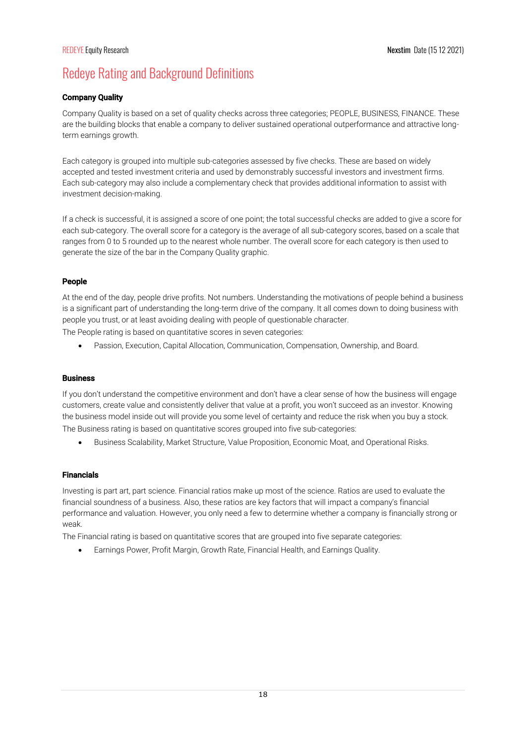# Redeye Rating and Background Definitions

# Company Quality

Company Quality is based on a set of quality checks across three categories; PEOPLE, BUSINESS, FINANCE. These are the building blocks that enable a company to deliver sustained operational outperformance and attractive longterm earnings growth.

Each category is grouped into multiple sub-categories assessed by five checks. These are based on widely accepted and tested investment criteria and used by demonstrably successful investors and investment firms. Each sub-category may also include a complementary check that provides additional information to assist with investment decision-making.

If a check is successful, it is assigned a score of one point; the total successful checks are added to give a score for each sub-category. The overall score for a category is the average of all sub-category scores, based on a scale that ranges from 0 to 5 rounded up to the nearest whole number. The overall score for each category is then used to generate the size of the bar in the Company Quality graphic.

# People

At the end of the day, people drive profits. Not numbers. Understanding the motivations of people behind a business is a significant part of understanding the long-term drive of the company. It all comes down to doing business with people you trust, or at least avoiding dealing with people of questionable character.

The People rating is based on quantitative scores in seven categories:

• Passion, Execution, Capital Allocation, Communication, Compensation, Ownership, and Board.

# Business

If you don't understand the competitive environment and don't have a clear sense of how the business will engage customers, create value and consistently deliver that value at a profit, you won't succeed as an investor. Knowing the business model inside out will provide you some level of certainty and reduce the risk when you buy a stock. The Business rating is based on quantitative scores grouped into five sub-categories:

• Business Scalability, Market Structure, Value Proposition, Economic Moat, and Operational Risks.

# Financials

Investing is part art, part science. Financial ratios make up most of the science. Ratios are used to evaluate the financial soundness of a business. Also, these ratios are key factors that will impact a company's financial performance and valuation. However, you only need a few to determine whether a company is financially strong or weak.

The Financial rating is based on quantitative scores that are grouped into five separate categories:

• Earnings Power, Profit Margin, Growth Rate, Financial Health, and Earnings Quality.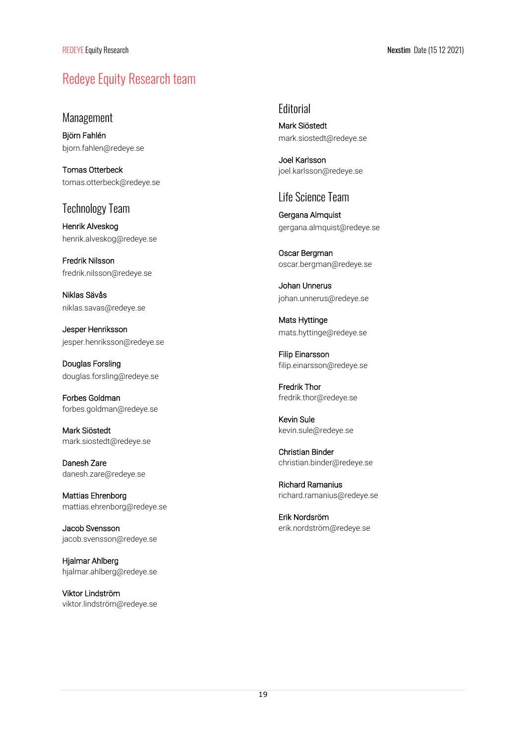# Redeye Equity Research team

# Management

Björn Fahlén bjorn.fahlen@redeye.se

Tomas Otterbeck tomas.otterbeck@redeye.se

# Technology Team

Henrik Alveskog henrik.alveskog@redeye.se

Fredrik Nilsson fredrik.nilsson@redeye.se

Niklas Sävås niklas.savas@redeye.se

Jesper Henriksson jesper.henriksson@redeye.se

Douglas Forsling douglas.forsling@redeye.se

Forbes Goldman forbes.goldman@redeye.se

Mark Siöstedt mark.siostedt@redeye.se

Danesh Zare danesh.zare@redeye.se

Mattias Ehrenborg mattias.ehrenborg@redeye.se

Jacob Svensson jacob.svensson@redeye.se

Hjalmar Ahlberg hjalmar.ahlberg@redeye.se

Viktor Lindström viktor.lindström@redeye.se

# **Editorial**

Mark Siöstedt mark.siostedt@redeye.se

Joel Karlsson joel.karlsson@redeye.se

# Life Science Team

Gergana Almquist gergana.almquist@redeye.se

Oscar Bergman oscar.bergman@redeye.se

Johan Unnerus johan.unnerus@redeye.se

Mats Hyttinge mats.hyttinge@redeye.se

Filip Einarsson filip.einarsson@redeye.se

Fredrik Thor fredrik.thor@redeye.se

Kevin Sule kevin.sule@redeye.se

Christian Binder christian.binder@redeye.se

Richard Ramanius richard.ramanius@redeye.se

Erik Nordsröm erik.nordström@redeye.se